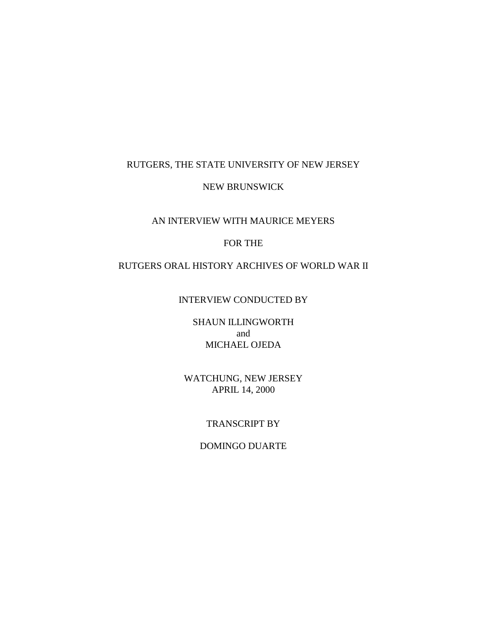### RUTGERS, THE STATE UNIVERSITY OF NEW JERSEY

### NEW BRUNSWICK

## AN INTERVIEW WITH MAURICE MEYERS

## FOR THE

### RUTGERS ORAL HISTORY ARCHIVES OF WORLD WAR II

## INTERVIEW CONDUCTED BY

## SHAUN ILLINGWORTH and MICHAEL OJEDA

## WATCHUNG, NEW JERSEY APRIL 14, 2000

### TRANSCRIPT BY

# DOMINGO DUARTE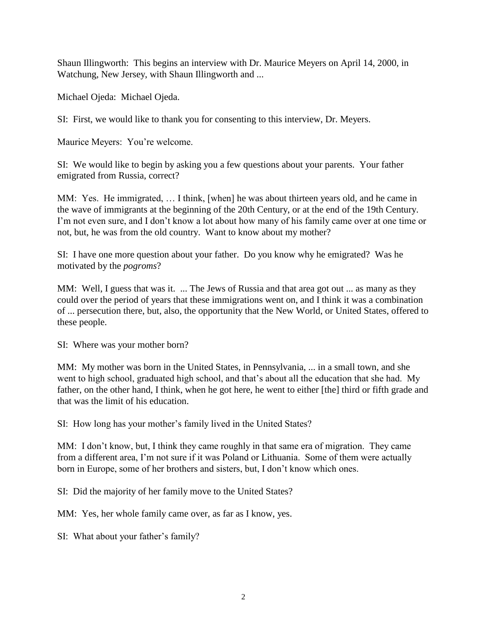Shaun Illingworth: This begins an interview with Dr. Maurice Meyers on April 14, 2000, in Watchung, New Jersey, with Shaun Illingworth and ...

Michael Ojeda: Michael Ojeda.

SI: First, we would like to thank you for consenting to this interview, Dr. Meyers.

Maurice Meyers: You're welcome.

SI: We would like to begin by asking you a few questions about your parents. Your father emigrated from Russia, correct?

MM: Yes. He immigrated, … I think, [when] he was about thirteen years old, and he came in the wave of immigrants at the beginning of the 20th Century, or at the end of the 19th Century. I'm not even sure, and I don't know a lot about how many of his family came over at one time or not, but, he was from the old country. Want to know about my mother?

SI: I have one more question about your father. Do you know why he emigrated? Was he motivated by the *pogroms*?

MM: Well, I guess that was it. ... The Jews of Russia and that area got out ... as many as they could over the period of years that these immigrations went on, and I think it was a combination of ... persecution there, but, also, the opportunity that the New World, or United States, offered to these people.

SI: Where was your mother born?

MM: My mother was born in the United States, in Pennsylvania, ... in a small town, and she went to high school, graduated high school, and that's about all the education that she had. My father, on the other hand, I think, when he got here, he went to either [the] third or fifth grade and that was the limit of his education.

SI: How long has your mother's family lived in the United States?

MM: I don't know, but, I think they came roughly in that same era of migration. They came from a different area, I'm not sure if it was Poland or Lithuania. Some of them were actually born in Europe, some of her brothers and sisters, but, I don't know which ones.

SI: Did the majority of her family move to the United States?

MM: Yes, her whole family came over, as far as I know, yes.

SI: What about your father's family?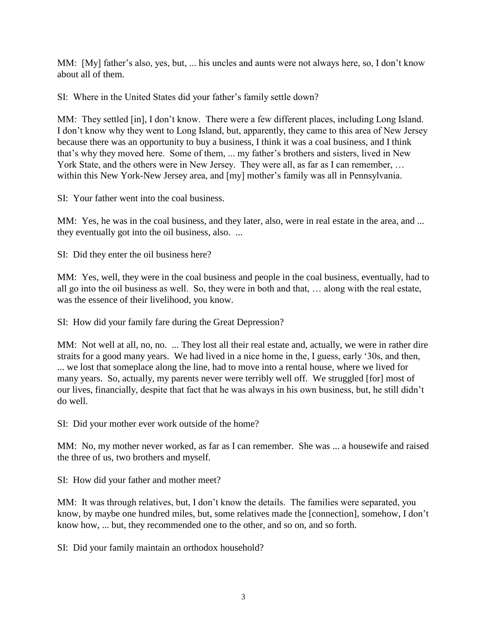MM: [My] father's also, yes, but, ... his uncles and aunts were not always here, so, I don't know about all of them.

SI: Where in the United States did your father's family settle down?

MM: They settled [in], I don't know. There were a few different places, including Long Island. I don't know why they went to Long Island, but, apparently, they came to this area of New Jersey because there was an opportunity to buy a business, I think it was a coal business, and I think that's why they moved here. Some of them, ... my father's brothers and sisters, lived in New York State, and the others were in New Jersey. They were all, as far as I can remember, ... within this New York-New Jersey area, and [my] mother's family was all in Pennsylvania.

SI: Your father went into the coal business.

MM: Yes, he was in the coal business, and they later, also, were in real estate in the area, and ... they eventually got into the oil business, also. ...

SI: Did they enter the oil business here?

MM: Yes, well, they were in the coal business and people in the coal business, eventually, had to all go into the oil business as well. So, they were in both and that, … along with the real estate, was the essence of their livelihood, you know.

SI: How did your family fare during the Great Depression?

MM: Not well at all, no, no. ... They lost all their real estate and, actually, we were in rather dire straits for a good many years. We had lived in a nice home in the, I guess, early '30s, and then, ... we lost that someplace along the line, had to move into a rental house, where we lived for many years. So, actually, my parents never were terribly well off. We struggled [for] most of our lives, financially, despite that fact that he was always in his own business, but, he still didn't do well.

SI: Did your mother ever work outside of the home?

MM: No, my mother never worked, as far as I can remember. She was ... a housewife and raised the three of us, two brothers and myself.

SI: How did your father and mother meet?

MM: It was through relatives, but, I don't know the details. The families were separated, you know, by maybe one hundred miles, but, some relatives made the [connection], somehow, I don't know how, ... but, they recommended one to the other, and so on, and so forth.

SI: Did your family maintain an orthodox household?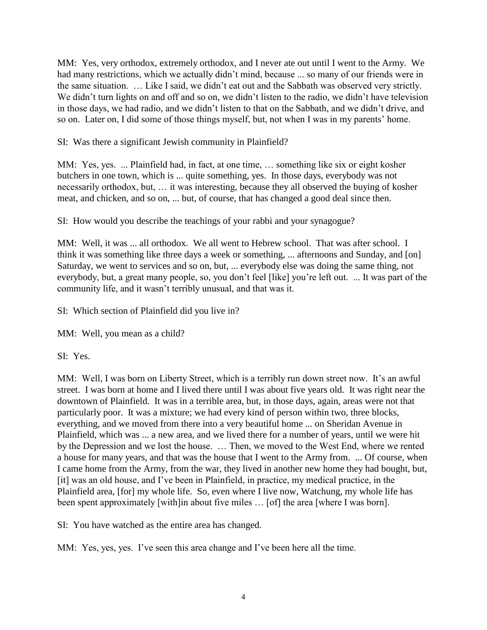MM: Yes, very orthodox, extremely orthodox, and I never ate out until I went to the Army. We had many restrictions, which we actually didn't mind, because ... so many of our friends were in the same situation. … Like I said, we didn't eat out and the Sabbath was observed very strictly. We didn't turn lights on and off and so on, we didn't listen to the radio, we didn't have television in those days, we had radio, and we didn't listen to that on the Sabbath, and we didn't drive, and so on. Later on, I did some of those things myself, but, not when I was in my parents' home.

SI: Was there a significant Jewish community in Plainfield?

MM: Yes, yes. ... Plainfield had, in fact, at one time, … something like six or eight kosher butchers in one town, which is ... quite something, yes. In those days, everybody was not necessarily orthodox, but, … it was interesting, because they all observed the buying of kosher meat, and chicken, and so on, ... but, of course, that has changed a good deal since then.

SI: How would you describe the teachings of your rabbi and your synagogue?

MM: Well, it was ... all orthodox. We all went to Hebrew school. That was after school. I think it was something like three days a week or something, ... afternoons and Sunday, and [on] Saturday, we went to services and so on, but, ... everybody else was doing the same thing, not everybody, but, a great many people, so, you don't feel [like] you're left out. ... It was part of the community life, and it wasn't terribly unusual, and that was it.

SI: Which section of Plainfield did you live in?

MM: Well, you mean as a child?

SI: Yes.

MM: Well, I was born on Liberty Street, which is a terribly run down street now. It's an awful street. I was born at home and I lived there until I was about five years old. It was right near the downtown of Plainfield. It was in a terrible area, but, in those days, again, areas were not that particularly poor. It was a mixture; we had every kind of person within two, three blocks, everything, and we moved from there into a very beautiful home ... on Sheridan Avenue in Plainfield, which was ... a new area, and we lived there for a number of years, until we were hit by the Depression and we lost the house. … Then, we moved to the West End, where we rented a house for many years, and that was the house that I went to the Army from. ... Of course, when I came home from the Army, from the war, they lived in another new home they had bought, but, [it] was an old house, and I've been in Plainfield, in practice, my medical practice, in the Plainfield area, [for] my whole life. So, even where I live now, Watchung, my whole life has been spent approximately [with]in about five miles ... [of] the area [where I was born].

SI: You have watched as the entire area has changed.

MM: Yes, yes, yes. I've seen this area change and I've been here all the time.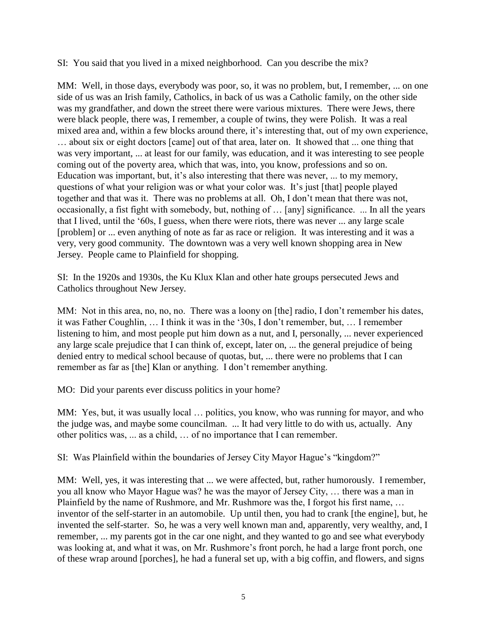SI: You said that you lived in a mixed neighborhood. Can you describe the mix?

MM: Well, in those days, everybody was poor, so, it was no problem, but, I remember, ... on one side of us was an Irish family, Catholics, in back of us was a Catholic family, on the other side was my grandfather, and down the street there were various mixtures. There were Jews, there were black people, there was, I remember, a couple of twins, they were Polish. It was a real mixed area and, within a few blocks around there, it's interesting that, out of my own experience, … about six or eight doctors [came] out of that area, later on. It showed that ... one thing that was very important, ... at least for our family, was education, and it was interesting to see people coming out of the poverty area, which that was, into, you know, professions and so on. Education was important, but, it's also interesting that there was never, ... to my memory, questions of what your religion was or what your color was. It's just [that] people played together and that was it. There was no problems at all. Oh, I don't mean that there was not, occasionally, a fist fight with somebody, but, nothing of … [any] significance. ... In all the years that I lived, until the '60s, I guess, when there were riots, there was never ... any large scale [problem] or ... even anything of note as far as race or religion. It was interesting and it was a very, very good community. The downtown was a very well known shopping area in New Jersey. People came to Plainfield for shopping.

SI: In the 1920s and 1930s, the Ku Klux Klan and other hate groups persecuted Jews and Catholics throughout New Jersey.

MM: Not in this area, no, no, no. There was a loony on [the] radio, I don't remember his dates, it was Father Coughlin, … I think it was in the '30s, I don't remember, but, … I remember listening to him, and most people put him down as a nut, and I, personally, ... never experienced any large scale prejudice that I can think of, except, later on, ... the general prejudice of being denied entry to medical school because of quotas, but, ... there were no problems that I can remember as far as [the] Klan or anything. I don't remember anything.

MO: Did your parents ever discuss politics in your home?

MM: Yes, but, it was usually local ... politics, you know, who was running for mayor, and who the judge was, and maybe some councilman. ... It had very little to do with us, actually. Any other politics was, ... as a child, … of no importance that I can remember.

SI: Was Plainfield within the boundaries of Jersey City Mayor Hague's "kingdom?"

MM: Well, yes, it was interesting that ... we were affected, but, rather humorously. I remember, you all know who Mayor Hague was? he was the mayor of Jersey City, … there was a man in Plainfield by the name of Rushmore, and Mr. Rushmore was the, I forgot his first name, … inventor of the self-starter in an automobile. Up until then, you had to crank [the engine], but, he invented the self-starter. So, he was a very well known man and, apparently, very wealthy, and, I remember, ... my parents got in the car one night, and they wanted to go and see what everybody was looking at, and what it was, on Mr. Rushmore's front porch, he had a large front porch, one of these wrap around [porches], he had a funeral set up, with a big coffin, and flowers, and signs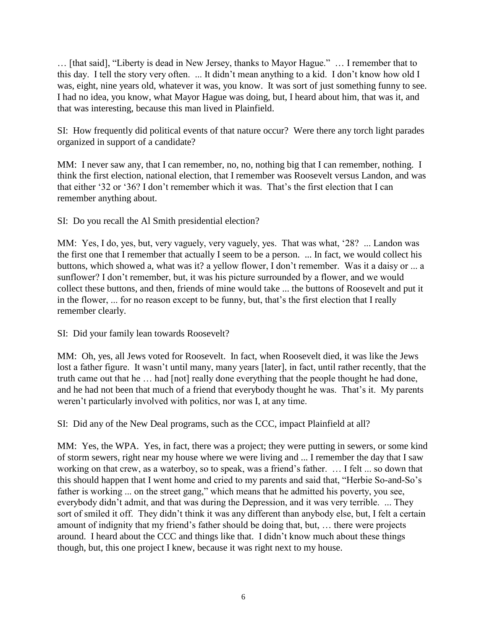… [that said], "Liberty is dead in New Jersey, thanks to Mayor Hague." … I remember that to this day. I tell the story very often. ... It didn't mean anything to a kid. I don't know how old I was, eight, nine years old, whatever it was, you know. It was sort of just something funny to see. I had no idea, you know, what Mayor Hague was doing, but, I heard about him, that was it, and that was interesting, because this man lived in Plainfield.

SI: How frequently did political events of that nature occur? Were there any torch light parades organized in support of a candidate?

MM: I never saw any, that I can remember, no, no, nothing big that I can remember, nothing. I think the first election, national election, that I remember was Roosevelt versus Landon, and was that either '32 or '36? I don't remember which it was. That's the first election that I can remember anything about.

SI: Do you recall the Al Smith presidential election?

MM: Yes, I do, yes, but, very vaguely, very vaguely, yes. That was what, '28? ... Landon was the first one that I remember that actually I seem to be a person. ... In fact, we would collect his buttons, which showed a, what was it? a yellow flower, I don't remember. Was it a daisy or ... a sunflower? I don't remember, but, it was his picture surrounded by a flower, and we would collect these buttons, and then, friends of mine would take ... the buttons of Roosevelt and put it in the flower, ... for no reason except to be funny, but, that's the first election that I really remember clearly.

SI: Did your family lean towards Roosevelt?

MM: Oh, yes, all Jews voted for Roosevelt. In fact, when Roosevelt died, it was like the Jews lost a father figure. It wasn't until many, many years [later], in fact, until rather recently, that the truth came out that he … had [not] really done everything that the people thought he had done, and he had not been that much of a friend that everybody thought he was. That's it. My parents weren't particularly involved with politics, nor was I, at any time.

SI: Did any of the New Deal programs, such as the CCC, impact Plainfield at all?

MM: Yes, the WPA. Yes, in fact, there was a project; they were putting in sewers, or some kind of storm sewers, right near my house where we were living and ... I remember the day that I saw working on that crew, as a waterboy, so to speak, was a friend's father. … I felt ... so down that this should happen that I went home and cried to my parents and said that, "Herbie So-and-So's father is working ... on the street gang," which means that he admitted his poverty, you see, everybody didn't admit, and that was during the Depression, and it was very terrible. ... They sort of smiled it off. They didn't think it was any different than anybody else, but, I felt a certain amount of indignity that my friend's father should be doing that, but, … there were projects around. I heard about the CCC and things like that. I didn't know much about these things though, but, this one project I knew, because it was right next to my house.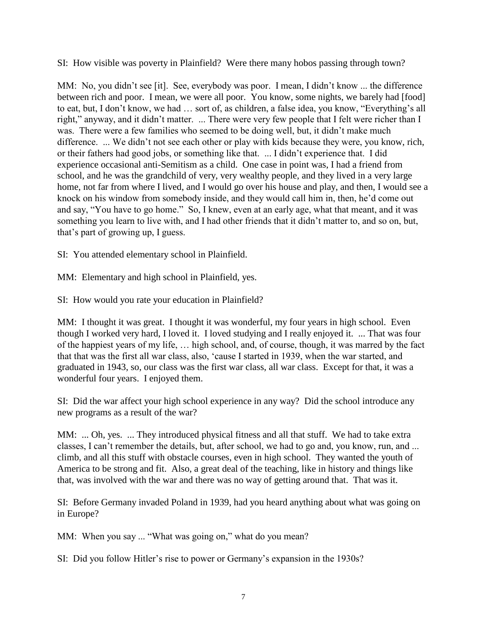SI: How visible was poverty in Plainfield? Were there many hobos passing through town?

MM: No, you didn't see [it]. See, everybody was poor. I mean, I didn't know ... the difference between rich and poor. I mean, we were all poor. You know, some nights, we barely had [food] to eat, but, I don't know, we had … sort of, as children, a false idea, you know, "Everything's all right," anyway, and it didn't matter. ... There were very few people that I felt were richer than I was. There were a few families who seemed to be doing well, but, it didn't make much difference. ... We didn't not see each other or play with kids because they were, you know, rich, or their fathers had good jobs, or something like that. ... I didn't experience that. I did experience occasional anti-Semitism as a child. One case in point was, I had a friend from school, and he was the grandchild of very, very wealthy people, and they lived in a very large home, not far from where I lived, and I would go over his house and play, and then, I would see a knock on his window from somebody inside, and they would call him in, then, he'd come out and say, "You have to go home." So, I knew, even at an early age, what that meant, and it was something you learn to live with, and I had other friends that it didn't matter to, and so on, but, that's part of growing up, I guess.

SI: You attended elementary school in Plainfield.

MM: Elementary and high school in Plainfield, yes.

SI: How would you rate your education in Plainfield?

MM: I thought it was great. I thought it was wonderful, my four years in high school. Even though I worked very hard, I loved it. I loved studying and I really enjoyed it. ... That was four of the happiest years of my life, … high school, and, of course, though, it was marred by the fact that that was the first all war class, also, 'cause I started in 1939, when the war started, and graduated in 1943, so, our class was the first war class, all war class. Except for that, it was a wonderful four years. I enjoyed them.

SI: Did the war affect your high school experience in any way? Did the school introduce any new programs as a result of the war?

MM: ... Oh, yes. ... They introduced physical fitness and all that stuff. We had to take extra classes, I can't remember the details, but, after school, we had to go and, you know, run, and ... climb, and all this stuff with obstacle courses, even in high school. They wanted the youth of America to be strong and fit. Also, a great deal of the teaching, like in history and things like that, was involved with the war and there was no way of getting around that. That was it.

SI: Before Germany invaded Poland in 1939, had you heard anything about what was going on in Europe?

MM: When you say ... "What was going on," what do you mean?

SI: Did you follow Hitler's rise to power or Germany's expansion in the 1930s?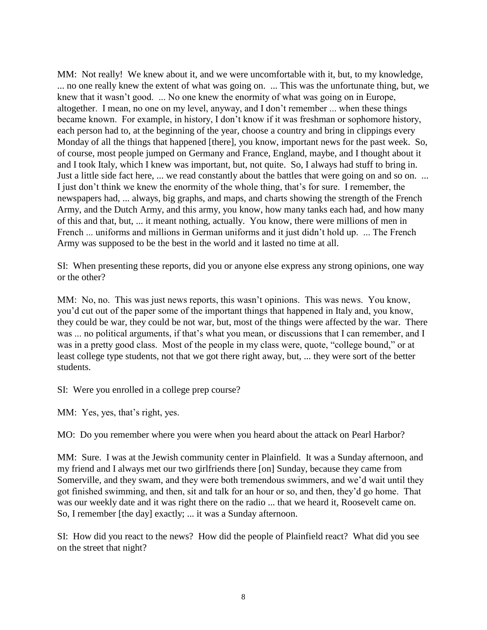MM: Not really! We knew about it, and we were uncomfortable with it, but, to my knowledge, ... no one really knew the extent of what was going on. ... This was the unfortunate thing, but, we knew that it wasn't good. ... No one knew the enormity of what was going on in Europe, altogether. I mean, no one on my level, anyway, and I don't remember ... when these things became known. For example, in history, I don't know if it was freshman or sophomore history, each person had to, at the beginning of the year, choose a country and bring in clippings every Monday of all the things that happened [there], you know, important news for the past week. So, of course, most people jumped on Germany and France, England, maybe, and I thought about it and I took Italy, which I knew was important, but, not quite. So, I always had stuff to bring in. Just a little side fact here, ... we read constantly about the battles that were going on and so on. ... I just don't think we knew the enormity of the whole thing, that's for sure. I remember, the newspapers had, ... always, big graphs, and maps, and charts showing the strength of the French Army, and the Dutch Army, and this army, you know, how many tanks each had, and how many of this and that, but, ... it meant nothing, actually. You know, there were millions of men in French ... uniforms and millions in German uniforms and it just didn't hold up. ... The French Army was supposed to be the best in the world and it lasted no time at all.

SI: When presenting these reports, did you or anyone else express any strong opinions, one way or the other?

MM: No, no. This was just news reports, this wasn't opinions. This was news. You know, you'd cut out of the paper some of the important things that happened in Italy and, you know, they could be war, they could be not war, but, most of the things were affected by the war. There was ... no political arguments, if that's what you mean, or discussions that I can remember, and I was in a pretty good class. Most of the people in my class were, quote, "college bound," or at least college type students, not that we got there right away, but, ... they were sort of the better students.

SI: Were you enrolled in a college prep course?

MM: Yes, yes, that's right, yes.

MO: Do you remember where you were when you heard about the attack on Pearl Harbor?

MM: Sure. I was at the Jewish community center in Plainfield. It was a Sunday afternoon, and my friend and I always met our two girlfriends there [on] Sunday, because they came from Somerville, and they swam, and they were both tremendous swimmers, and we'd wait until they got finished swimming, and then, sit and talk for an hour or so, and then, they'd go home. That was our weekly date and it was right there on the radio ... that we heard it, Roosevelt came on. So, I remember [the day] exactly; ... it was a Sunday afternoon.

SI: How did you react to the news? How did the people of Plainfield react? What did you see on the street that night?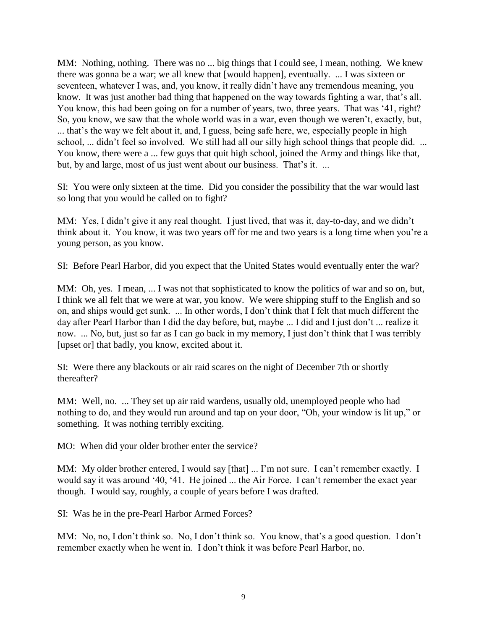MM: Nothing, nothing. There was no ... big things that I could see, I mean, nothing. We knew there was gonna be a war; we all knew that [would happen], eventually. ... I was sixteen or seventeen, whatever I was, and, you know, it really didn't have any tremendous meaning, you know. It was just another bad thing that happened on the way towards fighting a war, that's all. You know, this had been going on for a number of years, two, three years. That was '41, right? So, you know, we saw that the whole world was in a war, even though we weren't, exactly, but, ... that's the way we felt about it, and, I guess, being safe here, we, especially people in high school, ... didn't feel so involved. We still had all our silly high school things that people did. ... You know, there were a ... few guys that quit high school, joined the Army and things like that, but, by and large, most of us just went about our business. That's it. ...

SI: You were only sixteen at the time. Did you consider the possibility that the war would last so long that you would be called on to fight?

MM: Yes, I didn't give it any real thought. I just lived, that was it, day-to-day, and we didn't think about it. You know, it was two years off for me and two years is a long time when you're a young person, as you know.

SI: Before Pearl Harbor, did you expect that the United States would eventually enter the war?

MM: Oh, yes. I mean, ... I was not that sophisticated to know the politics of war and so on, but, I think we all felt that we were at war, you know. We were shipping stuff to the English and so on, and ships would get sunk. ... In other words, I don't think that I felt that much different the day after Pearl Harbor than I did the day before, but, maybe ... I did and I just don't ... realize it now. ... No, but, just so far as I can go back in my memory, I just don't think that I was terribly [upset or] that badly, you know, excited about it.

SI: Were there any blackouts or air raid scares on the night of December 7th or shortly thereafter?

MM: Well, no. ... They set up air raid wardens, usually old, unemployed people who had nothing to do, and they would run around and tap on your door, "Oh, your window is lit up," or something. It was nothing terribly exciting.

MO: When did your older brother enter the service?

MM: My older brother entered, I would say [that] ... I'm not sure. I can't remember exactly. I would say it was around '40, '41. He joined ... the Air Force. I can't remember the exact year though. I would say, roughly, a couple of years before I was drafted.

SI: Was he in the pre-Pearl Harbor Armed Forces?

MM: No, no, I don't think so. No, I don't think so. You know, that's a good question. I don't remember exactly when he went in. I don't think it was before Pearl Harbor, no.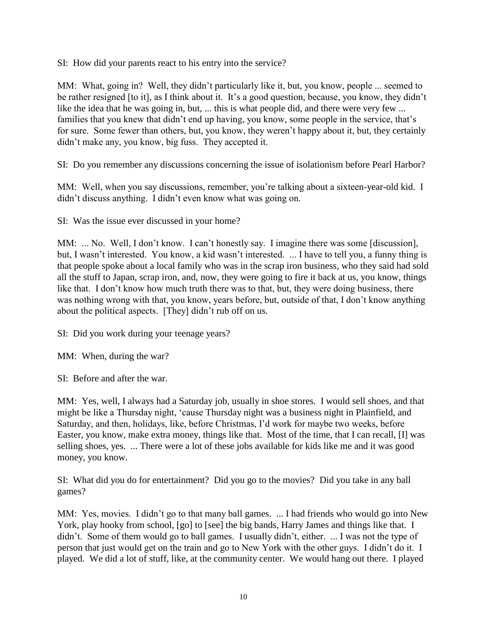SI: How did your parents react to his entry into the service?

MM: What, going in? Well, they didn't particularly like it, but, you know, people ... seemed to be rather resigned [to it], as I think about it. It's a good question, because, you know, they didn't like the idea that he was going in, but, ... this is what people did, and there were very few ... families that you knew that didn't end up having, you know, some people in the service, that's for sure. Some fewer than others, but, you know, they weren't happy about it, but, they certainly didn't make any, you know, big fuss. They accepted it.

SI: Do you remember any discussions concerning the issue of isolationism before Pearl Harbor?

MM: Well, when you say discussions, remember, you're talking about a sixteen-year-old kid. I didn't discuss anything. I didn't even know what was going on.

SI: Was the issue ever discussed in your home?

MM: ... No. Well, I don't know. I can't honestly say. I imagine there was some [discussion], but, I wasn't interested. You know, a kid wasn't interested. ... I have to tell you, a funny thing is that people spoke about a local family who was in the scrap iron business, who they said had sold all the stuff to Japan, scrap iron, and, now, they were going to fire it back at us, you know, things like that. I don't know how much truth there was to that, but, they were doing business, there was nothing wrong with that, you know, years before, but, outside of that, I don't know anything about the political aspects. [They] didn't rub off on us.

SI: Did you work during your teenage years?

MM: When, during the war?

SI: Before and after the war.

MM: Yes, well, I always had a Saturday job, usually in shoe stores. I would sell shoes, and that might be like a Thursday night, 'cause Thursday night was a business night in Plainfield, and Saturday, and then, holidays, like, before Christmas, I'd work for maybe two weeks, before Easter, you know, make extra money, things like that. Most of the time, that I can recall, [I] was selling shoes, yes. ... There were a lot of these jobs available for kids like me and it was good money, you know.

SI: What did you do for entertainment? Did you go to the movies? Did you take in any ball games?

MM: Yes, movies. I didn't go to that many ball games. ... I had friends who would go into New York, play hooky from school, [go] to [see] the big bands, Harry James and things like that. I didn't. Some of them would go to ball games. I usually didn't, either. ... I was not the type of person that just would get on the train and go to New York with the other guys. I didn't do it. I played. We did a lot of stuff, like, at the community center. We would hang out there. I played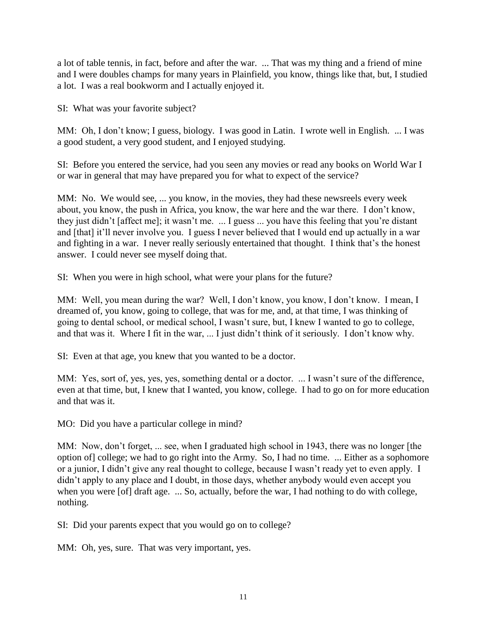a lot of table tennis, in fact, before and after the war. ... That was my thing and a friend of mine and I were doubles champs for many years in Plainfield, you know, things like that, but, I studied a lot. I was a real bookworm and I actually enjoyed it.

SI: What was your favorite subject?

MM: Oh, I don't know; I guess, biology. I was good in Latin. I wrote well in English. ... I was a good student, a very good student, and I enjoyed studying.

SI: Before you entered the service, had you seen any movies or read any books on World War I or war in general that may have prepared you for what to expect of the service?

MM: No. We would see, ... you know, in the movies, they had these newsreels every week about, you know, the push in Africa, you know, the war here and the war there. I don't know, they just didn't [affect me]; it wasn't me. ... I guess ... you have this feeling that you're distant and [that] it'll never involve you. I guess I never believed that I would end up actually in a war and fighting in a war. I never really seriously entertained that thought. I think that's the honest answer. I could never see myself doing that.

SI: When you were in high school, what were your plans for the future?

MM: Well, you mean during the war? Well, I don't know, you know, I don't know. I mean, I dreamed of, you know, going to college, that was for me, and, at that time, I was thinking of going to dental school, or medical school, I wasn't sure, but, I knew I wanted to go to college, and that was it. Where I fit in the war, ... I just didn't think of it seriously. I don't know why.

SI: Even at that age, you knew that you wanted to be a doctor.

MM: Yes, sort of, yes, yes, yes, something dental or a doctor. ... I wasn't sure of the difference, even at that time, but, I knew that I wanted, you know, college. I had to go on for more education and that was it.

MO: Did you have a particular college in mind?

MM: Now, don't forget, ... see, when I graduated high school in 1943, there was no longer [the option of] college; we had to go right into the Army. So, I had no time. ... Either as a sophomore or a junior, I didn't give any real thought to college, because I wasn't ready yet to even apply. I didn't apply to any place and I doubt, in those days, whether anybody would even accept you when you were [of] draft age. ... So, actually, before the war, I had nothing to do with college, nothing.

SI: Did your parents expect that you would go on to college?

MM: Oh, yes, sure. That was very important, yes.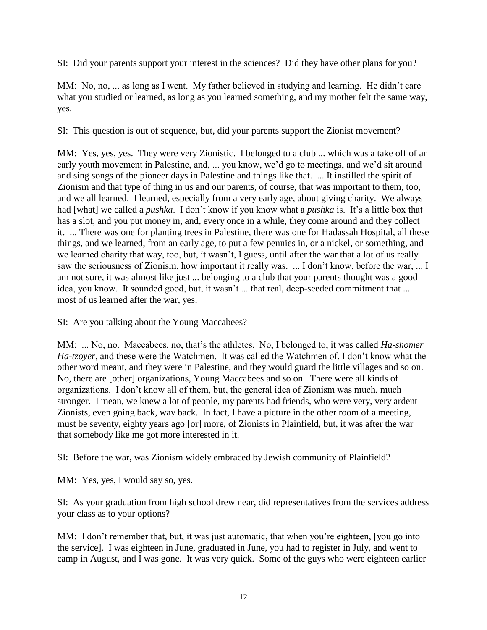SI: Did your parents support your interest in the sciences? Did they have other plans for you?

MM: No, no, ... as long as I went. My father believed in studying and learning. He didn't care what you studied or learned, as long as you learned something, and my mother felt the same way, yes.

SI: This question is out of sequence, but, did your parents support the Zionist movement?

MM: Yes, yes, yes. They were very Zionistic. I belonged to a club ... which was a take off of an early youth movement in Palestine, and, ... you know, we'd go to meetings, and we'd sit around and sing songs of the pioneer days in Palestine and things like that. ... It instilled the spirit of Zionism and that type of thing in us and our parents, of course, that was important to them, too, and we all learned. I learned, especially from a very early age, about giving charity. We always had [what] we called a *pushka*. I don't know if you know what a *pushka* is. It's a little box that has a slot, and you put money in, and, every once in a while, they come around and they collect it. ... There was one for planting trees in Palestine, there was one for Hadassah Hospital, all these things, and we learned, from an early age, to put a few pennies in, or a nickel, or something, and we learned charity that way, too, but, it wasn't, I guess, until after the war that a lot of us really saw the seriousness of Zionism, how important it really was. ... I don't know, before the war, ... I am not sure, it was almost like just ... belonging to a club that your parents thought was a good idea, you know. It sounded good, but, it wasn't ... that real, deep-seeded commitment that ... most of us learned after the war, yes.

SI: Are you talking about the Young Maccabees?

MM: ... No, no. Maccabees, no, that's the athletes. No, I belonged to, it was called *Ha-shomer Ha-tzoyer*, and these were the Watchmen. It was called the Watchmen of, I don't know what the other word meant, and they were in Palestine, and they would guard the little villages and so on. No, there are [other] organizations, Young Maccabees and so on. There were all kinds of organizations. I don't know all of them, but, the general idea of Zionism was much, much stronger. I mean, we knew a lot of people, my parents had friends, who were very, very ardent Zionists, even going back, way back. In fact, I have a picture in the other room of a meeting, must be seventy, eighty years ago [or] more, of Zionists in Plainfield, but, it was after the war that somebody like me got more interested in it.

SI: Before the war, was Zionism widely embraced by Jewish community of Plainfield?

MM: Yes, yes, I would say so, yes.

SI: As your graduation from high school drew near, did representatives from the services address your class as to your options?

MM: I don't remember that, but, it was just automatic, that when you're eighteen, [you go into the service]. I was eighteen in June, graduated in June, you had to register in July, and went to camp in August, and I was gone. It was very quick. Some of the guys who were eighteen earlier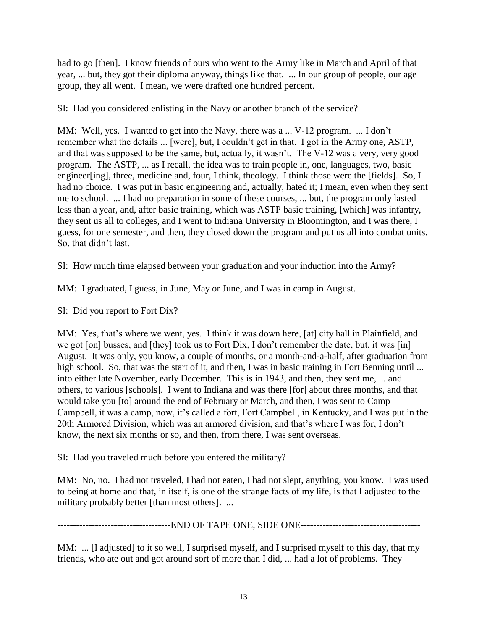had to go [then]. I know friends of ours who went to the Army like in March and April of that year, ... but, they got their diploma anyway, things like that. ... In our group of people, our age group, they all went. I mean, we were drafted one hundred percent.

SI: Had you considered enlisting in the Navy or another branch of the service?

MM: Well, yes. I wanted to get into the Navy, there was a ... V-12 program. ... I don't remember what the details ... [were], but, I couldn't get in that. I got in the Army one, ASTP, and that was supposed to be the same, but, actually, it wasn't. The V-12 was a very, very good program. The ASTP, ... as I recall, the idea was to train people in, one, languages, two, basic engineer[ing], three, medicine and, four, I think, theology. I think those were the [fields]. So, I had no choice. I was put in basic engineering and, actually, hated it; I mean, even when they sent me to school. ... I had no preparation in some of these courses, ... but, the program only lasted less than a year, and, after basic training, which was ASTP basic training, [which] was infantry, they sent us all to colleges, and I went to Indiana University in Bloomington, and I was there, I guess, for one semester, and then, they closed down the program and put us all into combat units. So, that didn't last.

SI: How much time elapsed between your graduation and your induction into the Army?

MM: I graduated, I guess, in June, May or June, and I was in camp in August.

SI: Did you report to Fort Dix?

MM: Yes, that's where we went, yes. I think it was down here, [at] city hall in Plainfield, and we got [on] busses, and [they] took us to Fort Dix, I don't remember the date, but, it was [in] August. It was only, you know, a couple of months, or a month-and-a-half, after graduation from high school. So, that was the start of it, and then, I was in basic training in Fort Benning until ... into either late November, early December. This is in 1943, and then, they sent me, ... and others, to various [schools]. I went to Indiana and was there [for] about three months, and that would take you [to] around the end of February or March, and then, I was sent to Camp Campbell, it was a camp, now, it's called a fort, Fort Campbell, in Kentucky, and I was put in the 20th Armored Division, which was an armored division, and that's where I was for, I don't know, the next six months or so, and then, from there, I was sent overseas.

SI: Had you traveled much before you entered the military?

MM: No, no. I had not traveled, I had not eaten, I had not slept, anything, you know. I was used to being at home and that, in itself, is one of the strange facts of my life, is that I adjusted to the military probably better [than most others]. ...

------------------------------------END OF TAPE ONE, SIDE ONE--------------------------------------

MM: ... [I adjusted] to it so well, I surprised myself, and I surprised myself to this day, that my friends, who ate out and got around sort of more than I did, ... had a lot of problems. They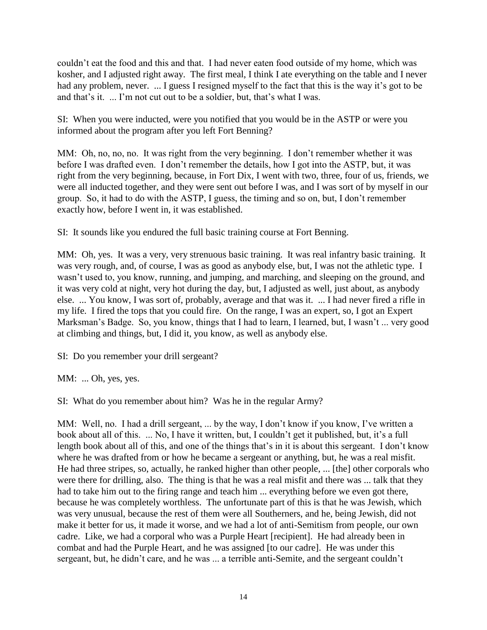couldn't eat the food and this and that. I had never eaten food outside of my home, which was kosher, and I adjusted right away. The first meal, I think I ate everything on the table and I never had any problem, never. ... I guess I resigned myself to the fact that this is the way it's got to be and that's it. ... I'm not cut out to be a soldier, but, that's what I was.

SI: When you were inducted, were you notified that you would be in the ASTP or were you informed about the program after you left Fort Benning?

MM: Oh, no, no, no. It was right from the very beginning. I don't remember whether it was before I was drafted even. I don't remember the details, how I got into the ASTP, but, it was right from the very beginning, because, in Fort Dix, I went with two, three, four of us, friends, we were all inducted together, and they were sent out before I was, and I was sort of by myself in our group. So, it had to do with the ASTP, I guess, the timing and so on, but, I don't remember exactly how, before I went in, it was established.

SI: It sounds like you endured the full basic training course at Fort Benning.

MM: Oh, yes. It was a very, very strenuous basic training. It was real infantry basic training. It was very rough, and, of course, I was as good as anybody else, but, I was not the athletic type. I wasn't used to, you know, running, and jumping, and marching, and sleeping on the ground, and it was very cold at night, very hot during the day, but, I adjusted as well, just about, as anybody else. ... You know, I was sort of, probably, average and that was it. ... I had never fired a rifle in my life. I fired the tops that you could fire. On the range, I was an expert, so, I got an Expert Marksman's Badge. So, you know, things that I had to learn, I learned, but, I wasn't ... very good at climbing and things, but, I did it, you know, as well as anybody else.

SI: Do you remember your drill sergeant?

MM: ... Oh, yes, yes.

SI: What do you remember about him? Was he in the regular Army?

MM: Well, no. I had a drill sergeant, ... by the way, I don't know if you know, I've written a book about all of this. ... No, I have it written, but, I couldn't get it published, but, it's a full length book about all of this, and one of the things that's in it is about this sergeant. I don't know where he was drafted from or how he became a sergeant or anything, but, he was a real misfit. He had three stripes, so, actually, he ranked higher than other people, ... [the] other corporals who were there for drilling, also. The thing is that he was a real misfit and there was ... talk that they had to take him out to the firing range and teach him ... everything before we even got there, because he was completely worthless. The unfortunate part of this is that he was Jewish, which was very unusual, because the rest of them were all Southerners, and he, being Jewish, did not make it better for us, it made it worse, and we had a lot of anti-Semitism from people, our own cadre. Like, we had a corporal who was a Purple Heart [recipient]. He had already been in combat and had the Purple Heart, and he was assigned [to our cadre]. He was under this sergeant, but, he didn't care, and he was ... a terrible anti-Semite, and the sergeant couldn't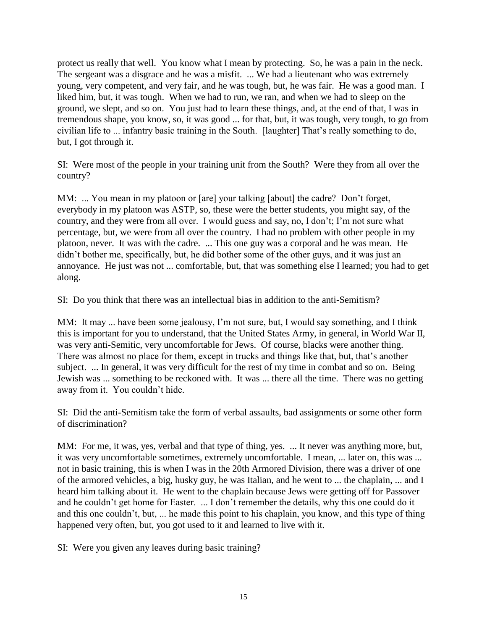protect us really that well. You know what I mean by protecting. So, he was a pain in the neck. The sergeant was a disgrace and he was a misfit. ... We had a lieutenant who was extremely young, very competent, and very fair, and he was tough, but, he was fair. He was a good man. I liked him, but, it was tough. When we had to run, we ran, and when we had to sleep on the ground, we slept, and so on. You just had to learn these things, and, at the end of that, I was in tremendous shape, you know, so, it was good ... for that, but, it was tough, very tough, to go from civilian life to ... infantry basic training in the South. [laughter] That's really something to do, but, I got through it.

SI: Were most of the people in your training unit from the South? Were they from all over the country?

MM: ... You mean in my platoon or [are] your talking [about] the cadre? Don't forget, everybody in my platoon was ASTP, so, these were the better students, you might say, of the country, and they were from all over. I would guess and say, no, I don't; I'm not sure what percentage, but, we were from all over the country. I had no problem with other people in my platoon, never. It was with the cadre. ... This one guy was a corporal and he was mean. He didn't bother me, specifically, but, he did bother some of the other guys, and it was just an annoyance. He just was not ... comfortable, but, that was something else I learned; you had to get along.

SI: Do you think that there was an intellectual bias in addition to the anti-Semitism?

MM: It may ... have been some jealousy, I'm not sure, but, I would say something, and I think this is important for you to understand, that the United States Army, in general, in World War II, was very anti-Semitic, very uncomfortable for Jews. Of course, blacks were another thing. There was almost no place for them, except in trucks and things like that, but, that's another subject. ... In general, it was very difficult for the rest of my time in combat and so on. Being Jewish was ... something to be reckoned with. It was ... there all the time. There was no getting away from it. You couldn't hide.

SI: Did the anti-Semitism take the form of verbal assaults, bad assignments or some other form of discrimination?

MM: For me, it was, yes, verbal and that type of thing, yes. ... It never was anything more, but, it was very uncomfortable sometimes, extremely uncomfortable. I mean, ... later on, this was ... not in basic training, this is when I was in the 20th Armored Division, there was a driver of one of the armored vehicles, a big, husky guy, he was Italian, and he went to ... the chaplain, ... and I heard him talking about it. He went to the chaplain because Jews were getting off for Passover and he couldn't get home for Easter. ... I don't remember the details, why this one could do it and this one couldn't, but, ... he made this point to his chaplain, you know, and this type of thing happened very often, but, you got used to it and learned to live with it.

SI: Were you given any leaves during basic training?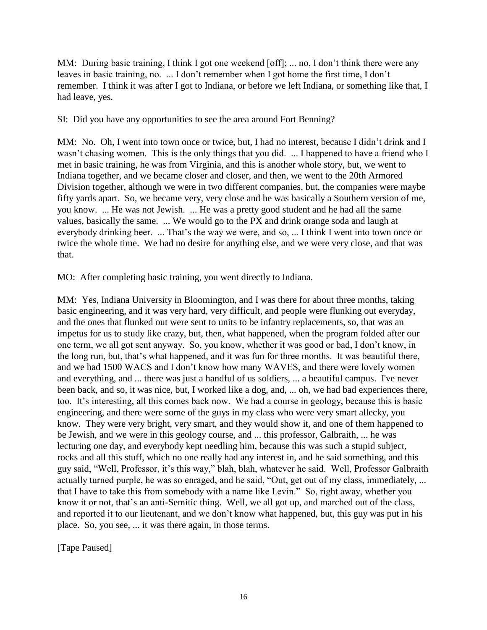MM: During basic training, I think I got one weekend [off]; ... no, I don't think there were any leaves in basic training, no. ... I don't remember when I got home the first time, I don't remember. I think it was after I got to Indiana, or before we left Indiana, or something like that, I had leave, yes.

SI: Did you have any opportunities to see the area around Fort Benning?

MM: No. Oh, I went into town once or twice, but, I had no interest, because I didn't drink and I wasn't chasing women. This is the only things that you did. ... I happened to have a friend who I met in basic training, he was from Virginia, and this is another whole story, but, we went to Indiana together, and we became closer and closer, and then, we went to the 20th Armored Division together, although we were in two different companies, but, the companies were maybe fifty yards apart. So, we became very, very close and he was basically a Southern version of me, you know. ... He was not Jewish. ... He was a pretty good student and he had all the same values, basically the same. ... We would go to the PX and drink orange soda and laugh at everybody drinking beer. ... That's the way we were, and so, ... I think I went into town once or twice the whole time. We had no desire for anything else, and we were very close, and that was that.

MO: After completing basic training, you went directly to Indiana.

MM: Yes, Indiana University in Bloomington, and I was there for about three months, taking basic engineering, and it was very hard, very difficult, and people were flunking out everyday, and the ones that flunked out were sent to units to be infantry replacements, so, that was an impetus for us to study like crazy, but, then, what happened, when the program folded after our one term, we all got sent anyway. So, you know, whether it was good or bad, I don't know, in the long run, but, that's what happened, and it was fun for three months. It was beautiful there, and we had 1500 WACS and I don't know how many WAVES, and there were lovely women and everything, and ... there was just a handful of us soldiers, ... a beautiful campus. I've never been back, and so, it was nice, but, I worked like a dog, and, ... oh, we had bad experiences there, too. It's interesting, all this comes back now. We had a course in geology, because this is basic engineering, and there were some of the guys in my class who were very smart allecky, you know. They were very bright, very smart, and they would show it, and one of them happened to be Jewish, and we were in this geology course, and ... this professor, Galbraith, ... he was lecturing one day, and everybody kept needling him, because this was such a stupid subject, rocks and all this stuff, which no one really had any interest in, and he said something, and this guy said, "Well, Professor, it's this way," blah, blah, whatever he said. Well, Professor Galbraith actually turned purple, he was so enraged, and he said, "Out, get out of my class, immediately, ... that I have to take this from somebody with a name like Levin." So, right away, whether you know it or not, that's an anti-Semitic thing. Well, we all got up, and marched out of the class, and reported it to our lieutenant, and we don't know what happened, but, this guy was put in his place. So, you see, ... it was there again, in those terms.

[Tape Paused]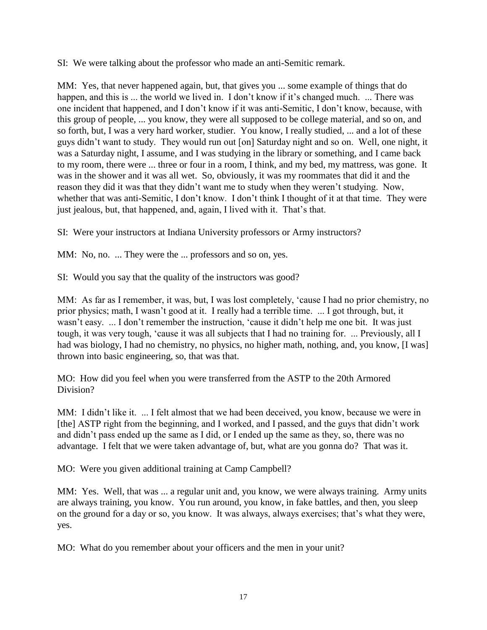SI: We were talking about the professor who made an anti-Semitic remark.

MM: Yes, that never happened again, but, that gives you ... some example of things that do happen, and this is ... the world we lived in. I don't know if it's changed much. ... There was one incident that happened, and I don't know if it was anti-Semitic, I don't know, because, with this group of people, ... you know, they were all supposed to be college material, and so on, and so forth, but, I was a very hard worker, studier. You know, I really studied, ... and a lot of these guys didn't want to study. They would run out [on] Saturday night and so on. Well, one night, it was a Saturday night, I assume, and I was studying in the library or something, and I came back to my room, there were ... three or four in a room, I think, and my bed, my mattress, was gone. It was in the shower and it was all wet. So, obviously, it was my roommates that did it and the reason they did it was that they didn't want me to study when they weren't studying. Now, whether that was anti-Semitic, I don't know. I don't think I thought of it at that time. They were just jealous, but, that happened, and, again, I lived with it. That's that.

SI: Were your instructors at Indiana University professors or Army instructors?

MM: No, no. ... They were the ... professors and so on, yes.

SI: Would you say that the quality of the instructors was good?

MM: As far as I remember, it was, but, I was lost completely, 'cause I had no prior chemistry, no prior physics; math, I wasn't good at it. I really had a terrible time. ... I got through, but, it wasn't easy. ... I don't remember the instruction, 'cause it didn't help me one bit. It was just tough, it was very tough, 'cause it was all subjects that I had no training for. ... Previously, all I had was biology, I had no chemistry, no physics, no higher math, nothing, and, you know, [I was] thrown into basic engineering, so, that was that.

MO: How did you feel when you were transferred from the ASTP to the 20th Armored Division?

MM: I didn't like it. ... I felt almost that we had been deceived, you know, because we were in [the] ASTP right from the beginning, and I worked, and I passed, and the guys that didn't work and didn't pass ended up the same as I did, or I ended up the same as they, so, there was no advantage. I felt that we were taken advantage of, but, what are you gonna do? That was it.

MO: Were you given additional training at Camp Campbell?

MM: Yes. Well, that was ... a regular unit and, you know, we were always training. Army units are always training, you know. You run around, you know, in fake battles, and then, you sleep on the ground for a day or so, you know. It was always, always exercises; that's what they were, yes.

MO: What do you remember about your officers and the men in your unit?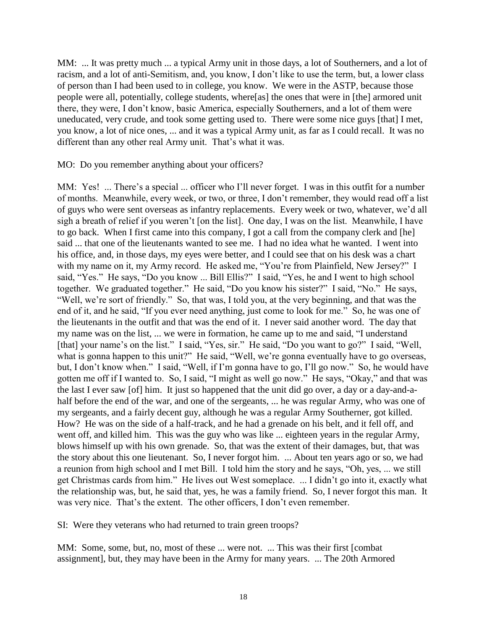MM: ... It was pretty much ... a typical Army unit in those days, a lot of Southerners, and a lot of racism, and a lot of anti-Semitism, and, you know, I don't like to use the term, but, a lower class of person than I had been used to in college, you know. We were in the ASTP, because those people were all, potentially, college students, where[as] the ones that were in [the] armored unit there, they were, I don't know, basic America, especially Southerners, and a lot of them were uneducated, very crude, and took some getting used to. There were some nice guys [that] I met, you know, a lot of nice ones, ... and it was a typical Army unit, as far as I could recall. It was no different than any other real Army unit. That's what it was.

MO: Do you remember anything about your officers?

MM: Yes! ... There's a special ... officer who I'll never forget. I was in this outfit for a number of months. Meanwhile, every week, or two, or three, I don't remember, they would read off a list of guys who were sent overseas as infantry replacements. Every week or two, whatever, we'd all sigh a breath of relief if you weren't [on the list]. One day, I was on the list. Meanwhile, I have to go back. When I first came into this company, I got a call from the company clerk and [he] said ... that one of the lieutenants wanted to see me. I had no idea what he wanted. I went into his office, and, in those days, my eyes were better, and I could see that on his desk was a chart with my name on it, my Army record. He asked me, "You're from Plainfield, New Jersey?" I said, "Yes." He says, "Do you know ... Bill Ellis?" I said, "Yes, he and I went to high school together. We graduated together." He said, "Do you know his sister?" I said, "No." He says, "Well, we're sort of friendly." So, that was, I told you, at the very beginning, and that was the end of it, and he said, "If you ever need anything, just come to look for me." So, he was one of the lieutenants in the outfit and that was the end of it. I never said another word. The day that my name was on the list, ... we were in formation, he came up to me and said, "I understand [that] your name's on the list." I said, "Yes, sir." He said, "Do you want to go?" I said, "Well, what is gonna happen to this unit?" He said, "Well, we're gonna eventually have to go overseas, but, I don't know when." I said, "Well, if I'm gonna have to go, I'll go now." So, he would have gotten me off if I wanted to. So, I said, "I might as well go now." He says, "Okay," and that was the last I ever saw [of] him. It just so happened that the unit did go over, a day or a day-and-ahalf before the end of the war, and one of the sergeants, ... he was regular Army, who was one of my sergeants, and a fairly decent guy, although he was a regular Army Southerner, got killed. How? He was on the side of a half-track, and he had a grenade on his belt, and it fell off, and went off, and killed him. This was the guy who was like ... eighteen years in the regular Army, blows himself up with his own grenade. So, that was the extent of their damages, but, that was the story about this one lieutenant. So, I never forgot him. ... About ten years ago or so, we had a reunion from high school and I met Bill. I told him the story and he says, "Oh, yes, ... we still get Christmas cards from him." He lives out West someplace. ... I didn't go into it, exactly what the relationship was, but, he said that, yes, he was a family friend. So, I never forgot this man. It was very nice. That's the extent. The other officers, I don't even remember.

SI: Were they veterans who had returned to train green troops?

MM: Some, some, but, no, most of these ... were not. ... This was their first [combat assignment], but, they may have been in the Army for many years. ... The 20th Armored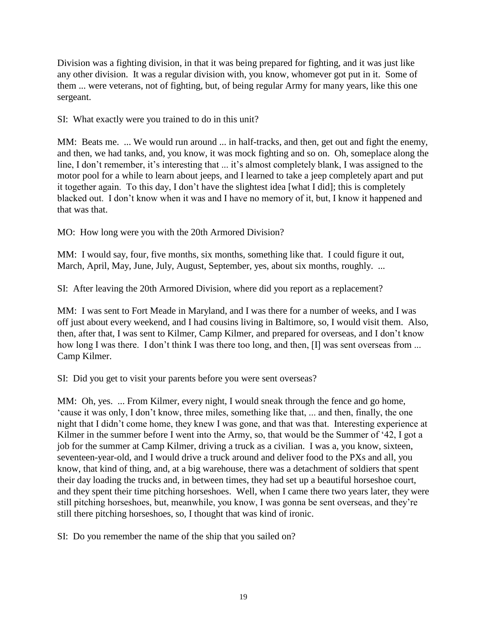Division was a fighting division, in that it was being prepared for fighting, and it was just like any other division. It was a regular division with, you know, whomever got put in it. Some of them ... were veterans, not of fighting, but, of being regular Army for many years, like this one sergeant.

SI: What exactly were you trained to do in this unit?

MM: Beats me. ... We would run around ... in half-tracks, and then, get out and fight the enemy, and then, we had tanks, and, you know, it was mock fighting and so on. Oh, someplace along the line, I don't remember, it's interesting that ... it's almost completely blank, I was assigned to the motor pool for a while to learn about jeeps, and I learned to take a jeep completely apart and put it together again. To this day, I don't have the slightest idea [what I did]; this is completely blacked out. I don't know when it was and I have no memory of it, but, I know it happened and that was that.

MO: How long were you with the 20th Armored Division?

MM: I would say, four, five months, six months, something like that. I could figure it out, March, April, May, June, July, August, September, yes, about six months, roughly. ...

SI: After leaving the 20th Armored Division, where did you report as a replacement?

MM: I was sent to Fort Meade in Maryland, and I was there for a number of weeks, and I was off just about every weekend, and I had cousins living in Baltimore, so, I would visit them. Also, then, after that, I was sent to Kilmer, Camp Kilmer, and prepared for overseas, and I don't know how long I was there. I don't think I was there too long, and then, [I] was sent overseas from ... Camp Kilmer.

SI: Did you get to visit your parents before you were sent overseas?

MM: Oh, yes. ... From Kilmer, every night, I would sneak through the fence and go home, 'cause it was only, I don't know, three miles, something like that, ... and then, finally, the one night that I didn't come home, they knew I was gone, and that was that. Interesting experience at Kilmer in the summer before I went into the Army, so, that would be the Summer of '42, I got a job for the summer at Camp Kilmer, driving a truck as a civilian. I was a, you know, sixteen, seventeen-year-old, and I would drive a truck around and deliver food to the PXs and all, you know, that kind of thing, and, at a big warehouse, there was a detachment of soldiers that spent their day loading the trucks and, in between times, they had set up a beautiful horseshoe court, and they spent their time pitching horseshoes. Well, when I came there two years later, they were still pitching horseshoes, but, meanwhile, you know, I was gonna be sent overseas, and they're still there pitching horseshoes, so, I thought that was kind of ironic.

SI: Do you remember the name of the ship that you sailed on?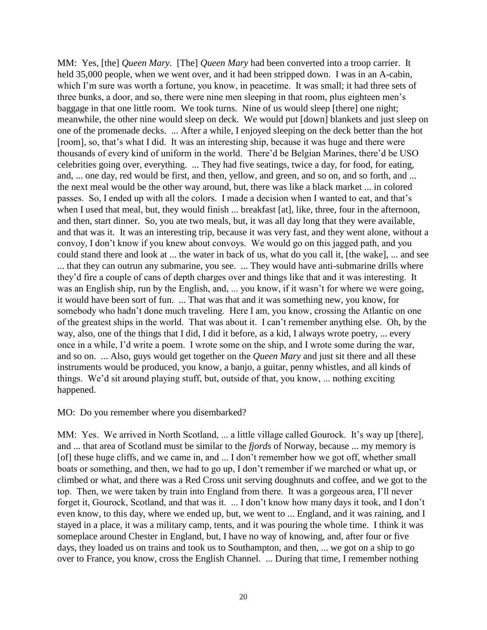MM: Yes, [the] *Queen Mary*. [The] *Queen Mary* had been converted into a troop carrier. It held 35,000 people, when we went over, and it had been stripped down. I was in an A-cabin, which I'm sure was worth a fortune, you know, in peacetime. It was small; it had three sets of three bunks, a door, and so, there were nine men sleeping in that room, plus eighteen men's baggage in that one little room. We took turns. Nine of us would sleep [there] one night; meanwhile, the other nine would sleep on deck. We would put [down] blankets and just sleep on one of the promenade decks. ... After a while, I enjoyed sleeping on the deck better than the hot [room], so, that's what I did. It was an interesting ship, because it was huge and there were thousands of every kind of uniform in the world. There'd be Belgian Marines, there'd be USO celebrities going over, everything. ... They had five seatings, twice a day, for food, for eating, and, ... one day, red would be first, and then, yellow, and green, and so on, and so forth, and ... the next meal would be the other way around, but, there was like a black market ... in colored passes. So, I ended up with all the colors. I made a decision when I wanted to eat, and that's when I used that meal, but, they would finish ... breakfast [at], like, three, four in the afternoon, and then, start dinner. So, you ate two meals, but, it was all day long that they were available, and that was it. It was an interesting trip, because it was very fast, and they went alone, without a convoy, I don't know if you knew about convoys. We would go on this jagged path, and you could stand there and look at ... the water in back of us, what do you call it, [the wake], ... and see ... that they can outrun any submarine, you see. ... They would have anti-submarine drills where they'd fire a couple of cans of depth charges over and things like that and it was interesting. It was an English ship, run by the English, and, ... you know, if it wasn't for where we were going, it would have been sort of fun. ... That was that and it was something new, you know, for somebody who hadn't done much traveling. Here I am, you know, crossing the Atlantic on one of the greatest ships in the world. That was about it. I can't remember anything else. Oh, by the way, also, one of the things that I did, I did it before, as a kid, I always wrote poetry, ... every once in a while, I'd write a poem. I wrote some on the ship, and I wrote some during the war, and so on. ... Also, guys would get together on the *Queen Mary* and just sit there and all these instruments would be produced, you know, a banjo, a guitar, penny whistles, and all kinds of things. We'd sit around playing stuff, but, outside of that, you know, ... nothing exciting happened.

#### MO: Do you remember where you disembarked?

MM: Yes. We arrived in North Scotland, ... a little village called Gourock. It's way up [there], and ... that area of Scotland must be similar to the *fjords* of Norway, because ... my memory is [of] these huge cliffs, and we came in, and ... I don't remember how we got off, whether small boats or something, and then, we had to go up, I don't remember if we marched or what up, or climbed or what, and there was a Red Cross unit serving doughnuts and coffee, and we got to the top. Then, we were taken by train into England from there. It was a gorgeous area, I'll never forget it, Gourock, Scotland, and that was it. ... I don't know how many days it took, and I don't even know, to this day, where we ended up, but, we went to ... England, and it was raining, and I stayed in a place, it was a military camp, tents, and it was pouring the whole time. I think it was someplace around Chester in England, but, I have no way of knowing, and, after four or five days, they loaded us on trains and took us to Southampton, and then, ... we got on a ship to go over to France, you know, cross the English Channel. ... During that time, I remember nothing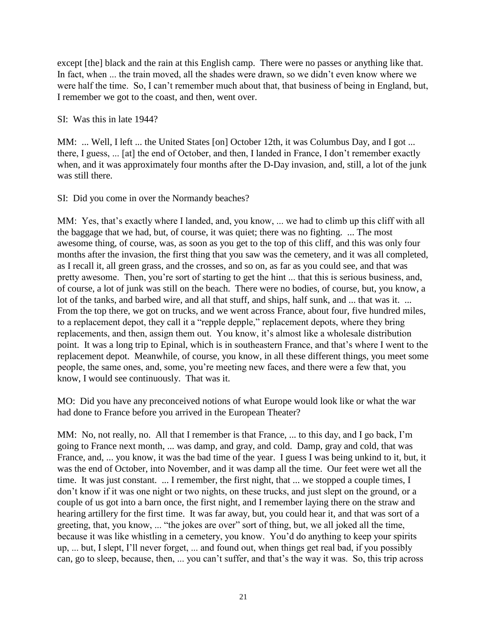except [the] black and the rain at this English camp. There were no passes or anything like that. In fact, when ... the train moved, all the shades were drawn, so we didn't even know where we were half the time. So, I can't remember much about that, that business of being in England, but, I remember we got to the coast, and then, went over.

SI: Was this in late 1944?

MM: ... Well, I left ... the United States [on] October 12th, it was Columbus Day, and I got ... there, I guess, ... [at] the end of October, and then, I landed in France, I don't remember exactly when, and it was approximately four months after the D-Day invasion, and, still, a lot of the junk was still there.

SI: Did you come in over the Normandy beaches?

MM: Yes, that's exactly where I landed, and, you know, ... we had to climb up this cliff with all the baggage that we had, but, of course, it was quiet; there was no fighting. ... The most awesome thing, of course, was, as soon as you get to the top of this cliff, and this was only four months after the invasion, the first thing that you saw was the cemetery, and it was all completed, as I recall it, all green grass, and the crosses, and so on, as far as you could see, and that was pretty awesome. Then, you're sort of starting to get the hint ... that this is serious business, and, of course, a lot of junk was still on the beach. There were no bodies, of course, but, you know, a lot of the tanks, and barbed wire, and all that stuff, and ships, half sunk, and ... that was it. ... From the top there, we got on trucks, and we went across France, about four, five hundred miles, to a replacement depot, they call it a "repple depple," replacement depots, where they bring replacements, and then, assign them out. You know, it's almost like a wholesale distribution point. It was a long trip to Epinal, which is in southeastern France, and that's where I went to the replacement depot. Meanwhile, of course, you know, in all these different things, you meet some people, the same ones, and, some, you're meeting new faces, and there were a few that, you know, I would see continuously. That was it.

MO: Did you have any preconceived notions of what Europe would look like or what the war had done to France before you arrived in the European Theater?

MM: No, not really, no. All that I remember is that France, ... to this day, and I go back, I'm going to France next month, ... was damp, and gray, and cold. Damp, gray and cold, that was France, and, ... you know, it was the bad time of the year. I guess I was being unkind to it, but, it was the end of October, into November, and it was damp all the time. Our feet were wet all the time. It was just constant. ... I remember, the first night, that ... we stopped a couple times, I don't know if it was one night or two nights, on these trucks, and just slept on the ground, or a couple of us got into a barn once, the first night, and I remember laying there on the straw and hearing artillery for the first time. It was far away, but, you could hear it, and that was sort of a greeting, that, you know, ... "the jokes are over" sort of thing, but, we all joked all the time, because it was like whistling in a cemetery, you know. You'd do anything to keep your spirits up, ... but, I slept, I'll never forget, ... and found out, when things get real bad, if you possibly can, go to sleep, because, then, ... you can't suffer, and that's the way it was. So, this trip across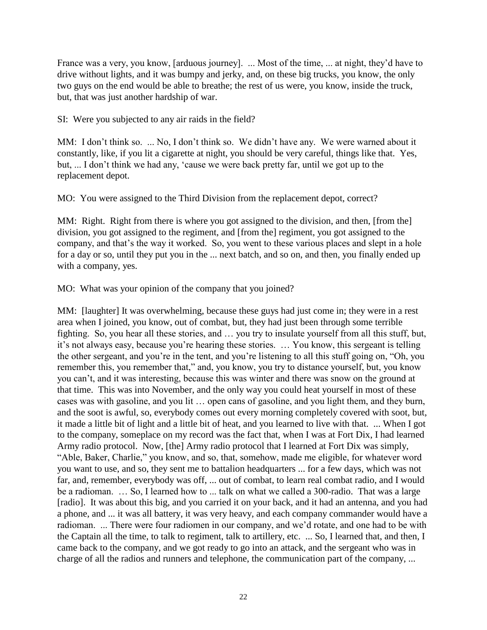France was a very, you know, [arduous journey]. ... Most of the time, ... at night, they'd have to drive without lights, and it was bumpy and jerky, and, on these big trucks, you know, the only two guys on the end would be able to breathe; the rest of us were, you know, inside the truck, but, that was just another hardship of war.

SI: Were you subjected to any air raids in the field?

MM: I don't think so. ... No, I don't think so. We didn't have any. We were warned about it constantly, like, if you lit a cigarette at night, you should be very careful, things like that. Yes, but, ... I don't think we had any, 'cause we were back pretty far, until we got up to the replacement depot.

MO: You were assigned to the Third Division from the replacement depot, correct?

MM: Right. Right from there is where you got assigned to the division, and then, [from the] division, you got assigned to the regiment, and [from the] regiment, you got assigned to the company, and that's the way it worked. So, you went to these various places and slept in a hole for a day or so, until they put you in the ... next batch, and so on, and then, you finally ended up with a company, yes.

MO: What was your opinion of the company that you joined?

MM: [laughter] It was overwhelming, because these guys had just come in; they were in a rest area when I joined, you know, out of combat, but, they had just been through some terrible fighting. So, you hear all these stories, and … you try to insulate yourself from all this stuff, but, it's not always easy, because you're hearing these stories. … You know, this sergeant is telling the other sergeant, and you're in the tent, and you're listening to all this stuff going on, "Oh, you remember this, you remember that," and, you know, you try to distance yourself, but, you know you can't, and it was interesting, because this was winter and there was snow on the ground at that time. This was into November, and the only way you could heat yourself in most of these cases was with gasoline, and you lit … open cans of gasoline, and you light them, and they burn, and the soot is awful, so, everybody comes out every morning completely covered with soot, but, it made a little bit of light and a little bit of heat, and you learned to live with that. ... When I got to the company, someplace on my record was the fact that, when I was at Fort Dix, I had learned Army radio protocol. Now, [the] Army radio protocol that I learned at Fort Dix was simply, "Able, Baker, Charlie," you know, and so, that, somehow, made me eligible, for whatever word you want to use, and so, they sent me to battalion headquarters ... for a few days, which was not far, and, remember, everybody was off, ... out of combat, to learn real combat radio, and I would be a radioman. … So, I learned how to ... talk on what we called a 300-radio. That was a large [radio]. It was about this big, and you carried it on your back, and it had an antenna, and you had a phone, and ... it was all battery, it was very heavy, and each company commander would have a radioman. ... There were four radiomen in our company, and we'd rotate, and one had to be with the Captain all the time, to talk to regiment, talk to artillery, etc. ... So, I learned that, and then, I came back to the company, and we got ready to go into an attack, and the sergeant who was in charge of all the radios and runners and telephone, the communication part of the company, ...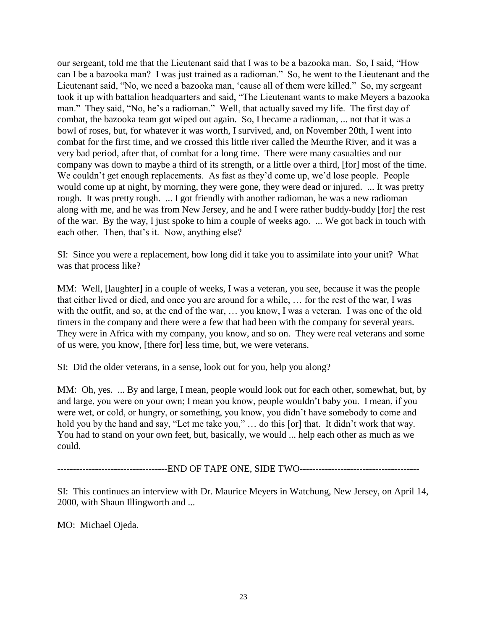our sergeant, told me that the Lieutenant said that I was to be a bazooka man. So, I said, "How can I be a bazooka man? I was just trained as a radioman." So, he went to the Lieutenant and the Lieutenant said, "No, we need a bazooka man, 'cause all of them were killed." So, my sergeant took it up with battalion headquarters and said, "The Lieutenant wants to make Meyers a bazooka man." They said, "No, he's a radioman." Well, that actually saved my life. The first day of combat, the bazooka team got wiped out again. So, I became a radioman, ... not that it was a bowl of roses, but, for whatever it was worth, I survived, and, on November 20th, I went into combat for the first time, and we crossed this little river called the Meurthe River, and it was a very bad period, after that, of combat for a long time. There were many casualties and our company was down to maybe a third of its strength, or a little over a third, [for] most of the time. We couldn't get enough replacements. As fast as they'd come up, we'd lose people. People would come up at night, by morning, they were gone, they were dead or injured. ... It was pretty rough. It was pretty rough. ... I got friendly with another radioman, he was a new radioman along with me, and he was from New Jersey, and he and I were rather buddy-buddy [for] the rest of the war. By the way, I just spoke to him a couple of weeks ago. ... We got back in touch with each other. Then, that's it. Now, anything else?

SI: Since you were a replacement, how long did it take you to assimilate into your unit? What was that process like?

MM: Well, [laughter] in a couple of weeks, I was a veteran, you see, because it was the people that either lived or died, and once you are around for a while, … for the rest of the war, I was with the outfit, and so, at the end of the war, … you know, I was a veteran. I was one of the old timers in the company and there were a few that had been with the company for several years. They were in Africa with my company, you know, and so on. They were real veterans and some of us were, you know, [there for] less time, but, we were veterans.

SI: Did the older veterans, in a sense, look out for you, help you along?

MM: Oh, yes. ... By and large, I mean, people would look out for each other, somewhat, but, by and large, you were on your own; I mean you know, people wouldn't baby you. I mean, if you were wet, or cold, or hungry, or something, you know, you didn't have somebody to come and hold you by the hand and say, "Let me take you," … do this [or] that. It didn't work that way. You had to stand on your own feet, but, basically, we would ... help each other as much as we could.

-----------------------------------END OF TAPE ONE, SIDE TWO--------------------------------------

SI: This continues an interview with Dr. Maurice Meyers in Watchung, New Jersey, on April 14, 2000, with Shaun Illingworth and ...

MO: Michael Ojeda.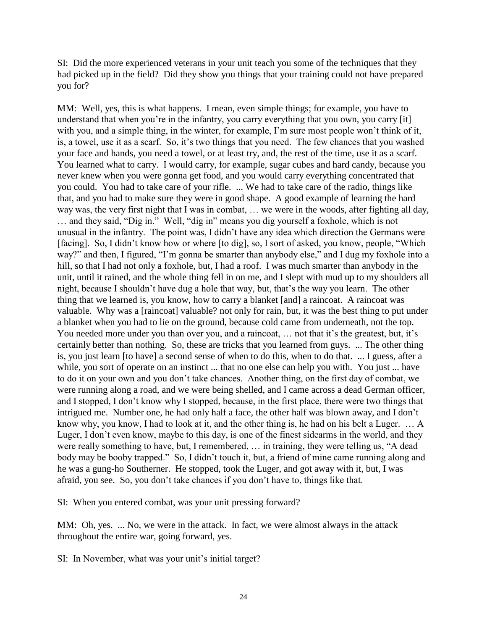SI: Did the more experienced veterans in your unit teach you some of the techniques that they had picked up in the field? Did they show you things that your training could not have prepared you for?

MM: Well, yes, this is what happens. I mean, even simple things; for example, you have to understand that when you're in the infantry, you carry everything that you own, you carry [it] with you, and a simple thing, in the winter, for example, I'm sure most people won't think of it, is, a towel, use it as a scarf. So, it's two things that you need. The few chances that you washed your face and hands, you need a towel, or at least try, and, the rest of the time, use it as a scarf. You learned what to carry. I would carry, for example, sugar cubes and hard candy, because you never knew when you were gonna get food, and you would carry everything concentrated that you could. You had to take care of your rifle. ... We had to take care of the radio, things like that, and you had to make sure they were in good shape. A good example of learning the hard way was, the very first night that I was in combat, … we were in the woods, after fighting all day, … and they said, "Dig in." Well, "dig in" means you dig yourself a foxhole, which is not unusual in the infantry. The point was, I didn't have any idea which direction the Germans were [facing]. So, I didn't know how or where [to dig], so, I sort of asked, you know, people, "Which way?" and then, I figured, "I'm gonna be smarter than anybody else," and I dug my foxhole into a hill, so that I had not only a foxhole, but, I had a roof. I was much smarter than anybody in the unit, until it rained, and the whole thing fell in on me, and I slept with mud up to my shoulders all night, because I shouldn't have dug a hole that way, but, that's the way you learn. The other thing that we learned is, you know, how to carry a blanket [and] a raincoat. A raincoat was valuable. Why was a [raincoat] valuable? not only for rain, but, it was the best thing to put under a blanket when you had to lie on the ground, because cold came from underneath, not the top. You needed more under you than over you, and a raincoat, ... not that it's the greatest, but, it's certainly better than nothing. So, these are tricks that you learned from guys. ... The other thing is, you just learn [to have] a second sense of when to do this, when to do that. ... I guess, after a while, you sort of operate on an instinct ... that no one else can help you with. You just ... have to do it on your own and you don't take chances. Another thing, on the first day of combat, we were running along a road, and we were being shelled, and I came across a dead German officer, and I stopped, I don't know why I stopped, because, in the first place, there were two things that intrigued me. Number one, he had only half a face, the other half was blown away, and I don't know why, you know, I had to look at it, and the other thing is, he had on his belt a Luger. … A Luger, I don't even know, maybe to this day, is one of the finest sidearms in the world, and they were really something to have, but, I remembered, … in training, they were telling us, "A dead body may be booby trapped." So, I didn't touch it, but, a friend of mine came running along and he was a gung-ho Southerner. He stopped, took the Luger, and got away with it, but, I was afraid, you see. So, you don't take chances if you don't have to, things like that.

SI: When you entered combat, was your unit pressing forward?

MM: Oh, yes. ... No, we were in the attack. In fact, we were almost always in the attack throughout the entire war, going forward, yes.

SI: In November, what was your unit's initial target?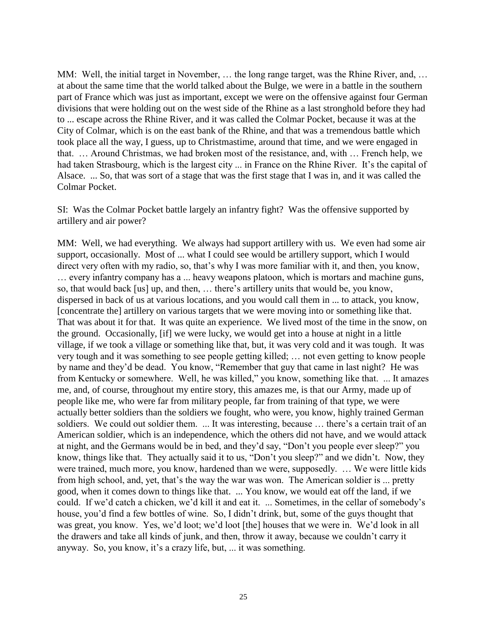MM: Well, the initial target in November, … the long range target, was the Rhine River, and, … at about the same time that the world talked about the Bulge, we were in a battle in the southern part of France which was just as important, except we were on the offensive against four German divisions that were holding out on the west side of the Rhine as a last stronghold before they had to ... escape across the Rhine River, and it was called the Colmar Pocket, because it was at the City of Colmar, which is on the east bank of the Rhine, and that was a tremendous battle which took place all the way, I guess, up to Christmastime, around that time, and we were engaged in that. … Around Christmas, we had broken most of the resistance, and, with … French help, we had taken Strasbourg, which is the largest city ... in France on the Rhine River. It's the capital of Alsace. ... So, that was sort of a stage that was the first stage that I was in, and it was called the Colmar Pocket.

SI: Was the Colmar Pocket battle largely an infantry fight? Was the offensive supported by artillery and air power?

MM: Well, we had everything. We always had support artillery with us. We even had some air support, occasionally. Most of ... what I could see would be artillery support, which I would direct very often with my radio, so, that's why I was more familiar with it, and then, you know, … every infantry company has a ... heavy weapons platoon, which is mortars and machine guns, so, that would back [us] up, and then, … there's artillery units that would be, you know, dispersed in back of us at various locations, and you would call them in ... to attack, you know, [concentrate the] artillery on various targets that we were moving into or something like that. That was about it for that. It was quite an experience. We lived most of the time in the snow, on the ground. Occasionally, [if] we were lucky, we would get into a house at night in a little village, if we took a village or something like that, but, it was very cold and it was tough. It was very tough and it was something to see people getting killed; … not even getting to know people by name and they'd be dead. You know, "Remember that guy that came in last night? He was from Kentucky or somewhere. Well, he was killed," you know, something like that. ... It amazes me, and, of course, throughout my entire story, this amazes me, is that our Army, made up of people like me, who were far from military people, far from training of that type, we were actually better soldiers than the soldiers we fought, who were, you know, highly trained German soldiers. We could out soldier them. ... It was interesting, because ... there's a certain trait of an American soldier, which is an independence, which the others did not have, and we would attack at night, and the Germans would be in bed, and they'd say, "Don't you people ever sleep?" you know, things like that. They actually said it to us, "Don't you sleep?" and we didn't. Now, they were trained, much more, you know, hardened than we were, supposedly. … We were little kids from high school, and, yet, that's the way the war was won. The American soldier is ... pretty good, when it comes down to things like that. ... You know, we would eat off the land, if we could. If we'd catch a chicken, we'd kill it and eat it. ... Sometimes, in the cellar of somebody's house, you'd find a few bottles of wine. So, I didn't drink, but, some of the guys thought that was great, you know. Yes, we'd loot; we'd loot [the] houses that we were in. We'd look in all the drawers and take all kinds of junk, and then, throw it away, because we couldn't carry it anyway. So, you know, it's a crazy life, but, ... it was something.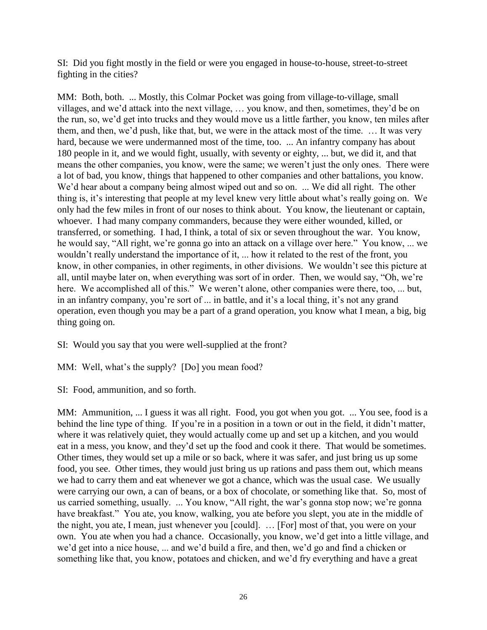SI: Did you fight mostly in the field or were you engaged in house-to-house, street-to-street fighting in the cities?

MM: Both, both. ... Mostly, this Colmar Pocket was going from village-to-village, small villages, and we'd attack into the next village, … you know, and then, sometimes, they'd be on the run, so, we'd get into trucks and they would move us a little farther, you know, ten miles after them, and then, we'd push, like that, but, we were in the attack most of the time. … It was very hard, because we were undermanned most of the time, too. ... An infantry company has about 180 people in it, and we would fight, usually, with seventy or eighty, ... but, we did it, and that means the other companies, you know, were the same; we weren't just the only ones. There were a lot of bad, you know, things that happened to other companies and other battalions, you know. We'd hear about a company being almost wiped out and so on. ... We did all right. The other thing is, it's interesting that people at my level knew very little about what's really going on. We only had the few miles in front of our noses to think about. You know, the lieutenant or captain, whoever. I had many company commanders, because they were either wounded, killed, or transferred, or something. I had, I think, a total of six or seven throughout the war. You know, he would say, "All right, we're gonna go into an attack on a village over here." You know, ... we wouldn't really understand the importance of it, ... how it related to the rest of the front, you know, in other companies, in other regiments, in other divisions. We wouldn't see this picture at all, until maybe later on, when everything was sort of in order. Then, we would say, "Oh, we're here. We accomplished all of this." We weren't alone, other companies were there, too, ... but, in an infantry company, you're sort of ... in battle, and it's a local thing, it's not any grand operation, even though you may be a part of a grand operation, you know what I mean, a big, big thing going on.

SI: Would you say that you were well-supplied at the front?

MM: Well, what's the supply? [Do] you mean food?

SI: Food, ammunition, and so forth.

MM: Ammunition, ... I guess it was all right. Food, you got when you got. ... You see, food is a behind the line type of thing. If you're in a position in a town or out in the field, it didn't matter, where it was relatively quiet, they would actually come up and set up a kitchen, and you would eat in a mess, you know, and they'd set up the food and cook it there. That would be sometimes. Other times, they would set up a mile or so back, where it was safer, and just bring us up some food, you see. Other times, they would just bring us up rations and pass them out, which means we had to carry them and eat whenever we got a chance, which was the usual case. We usually were carrying our own, a can of beans, or a box of chocolate, or something like that. So, most of us carried something, usually. ... You know, "All right, the war's gonna stop now; we're gonna have breakfast." You ate, you know, walking, you ate before you slept, you ate in the middle of the night, you ate, I mean, just whenever you [could]. … [For] most of that, you were on your own. You ate when you had a chance. Occasionally, you know, we'd get into a little village, and we'd get into a nice house, ... and we'd build a fire, and then, we'd go and find a chicken or something like that, you know, potatoes and chicken, and we'd fry everything and have a great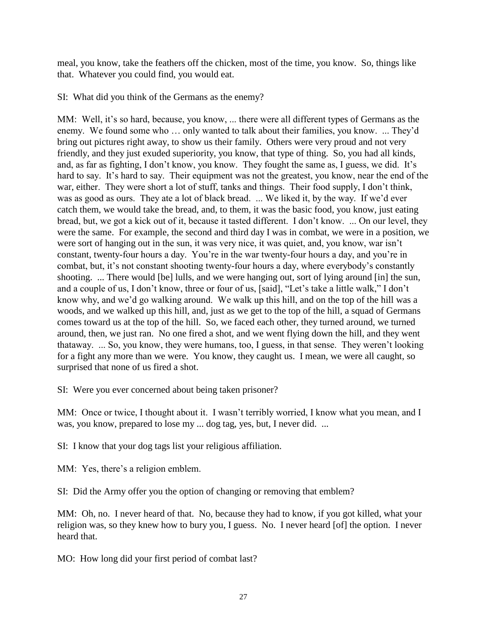meal, you know, take the feathers off the chicken, most of the time, you know. So, things like that. Whatever you could find, you would eat.

SI: What did you think of the Germans as the enemy?

MM: Well, it's so hard, because, you know, ... there were all different types of Germans as the enemy. We found some who … only wanted to talk about their families, you know. ... They'd bring out pictures right away, to show us their family. Others were very proud and not very friendly, and they just exuded superiority, you know, that type of thing. So, you had all kinds, and, as far as fighting, I don't know, you know. They fought the same as, I guess, we did. It's hard to say. It's hard to say. Their equipment was not the greatest, you know, near the end of the war, either. They were short a lot of stuff, tanks and things. Their food supply, I don't think, was as good as ours. They ate a lot of black bread. ... We liked it, by the way. If we'd ever catch them, we would take the bread, and, to them, it was the basic food, you know, just eating bread, but, we got a kick out of it, because it tasted different. I don't know. ... On our level, they were the same. For example, the second and third day I was in combat, we were in a position, we were sort of hanging out in the sun, it was very nice, it was quiet, and, you know, war isn't constant, twenty-four hours a day. You're in the war twenty-four hours a day, and you're in combat, but, it's not constant shooting twenty-four hours a day, where everybody's constantly shooting. ... There would [be] lulls, and we were hanging out, sort of lying around [in] the sun, and a couple of us, I don't know, three or four of us, [said], "Let's take a little walk," I don't know why, and we'd go walking around. We walk up this hill, and on the top of the hill was a woods, and we walked up this hill, and, just as we get to the top of the hill, a squad of Germans comes toward us at the top of the hill. So, we faced each other, they turned around, we turned around, then, we just ran. No one fired a shot, and we went flying down the hill, and they went thataway. ... So, you know, they were humans, too, I guess, in that sense. They weren't looking for a fight any more than we were. You know, they caught us. I mean, we were all caught, so surprised that none of us fired a shot.

SI: Were you ever concerned about being taken prisoner?

MM: Once or twice, I thought about it. I wasn't terribly worried, I know what you mean, and I was, you know, prepared to lose my ... dog tag, yes, but, I never did. ...

SI: I know that your dog tags list your religious affiliation.

MM: Yes, there's a religion emblem.

SI: Did the Army offer you the option of changing or removing that emblem?

MM: Oh, no. I never heard of that. No, because they had to know, if you got killed, what your religion was, so they knew how to bury you, I guess. No. I never heard [of] the option. I never heard that.

MO: How long did your first period of combat last?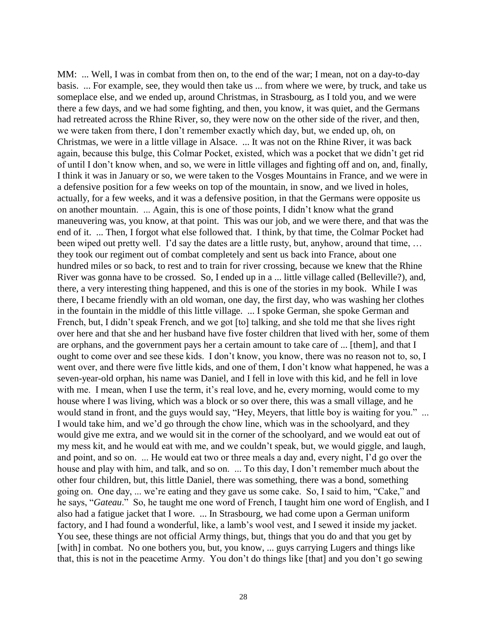MM: ... Well, I was in combat from then on, to the end of the war; I mean, not on a day-to-day basis. ... For example, see, they would then take us ... from where we were, by truck, and take us someplace else, and we ended up, around Christmas, in Strasbourg, as I told you, and we were there a few days, and we had some fighting, and then, you know, it was quiet, and the Germans had retreated across the Rhine River, so, they were now on the other side of the river, and then, we were taken from there, I don't remember exactly which day, but, we ended up, oh, on Christmas, we were in a little village in Alsace. ... It was not on the Rhine River, it was back again, because this bulge, this Colmar Pocket, existed, which was a pocket that we didn't get rid of until I don't know when, and so, we were in little villages and fighting off and on, and, finally, I think it was in January or so, we were taken to the Vosges Mountains in France, and we were in a defensive position for a few weeks on top of the mountain, in snow, and we lived in holes, actually, for a few weeks, and it was a defensive position, in that the Germans were opposite us on another mountain. ... Again, this is one of those points, I didn't know what the grand maneuvering was, you know, at that point. This was our job, and we were there, and that was the end of it. ... Then, I forgot what else followed that. I think, by that time, the Colmar Pocket had been wiped out pretty well. I'd say the dates are a little rusty, but, anyhow, around that time, … they took our regiment out of combat completely and sent us back into France, about one hundred miles or so back, to rest and to train for river crossing, because we knew that the Rhine River was gonna have to be crossed. So, I ended up in a ... little village called (Belleville?), and, there, a very interesting thing happened, and this is one of the stories in my book. While I was there, I became friendly with an old woman, one day, the first day, who was washing her clothes in the fountain in the middle of this little village. ... I spoke German, she spoke German and French, but, I didn't speak French, and we got [to] talking, and she told me that she lives right over here and that she and her husband have five foster children that lived with her, some of them are orphans, and the government pays her a certain amount to take care of ... [them], and that I ought to come over and see these kids. I don't know, you know, there was no reason not to, so, I went over, and there were five little kids, and one of them, I don't know what happened, he was a seven-year-old orphan, his name was Daniel, and I fell in love with this kid, and he fell in love with me. I mean, when I use the term, it's real love, and he, every morning, would come to my house where I was living, which was a block or so over there, this was a small village, and he would stand in front, and the guys would say, "Hey, Meyers, that little boy is waiting for you." ... I would take him, and we'd go through the chow line, which was in the schoolyard, and they would give me extra, and we would sit in the corner of the schoolyard, and we would eat out of my mess kit, and he would eat with me, and we couldn't speak, but, we would giggle, and laugh, and point, and so on. ... He would eat two or three meals a day and, every night, I'd go over the house and play with him, and talk, and so on. ... To this day, I don't remember much about the other four children, but, this little Daniel, there was something, there was a bond, something going on. One day, ... we're eating and they gave us some cake. So, I said to him, "Cake," and he says, "*Gateau*." So, he taught me one word of French, I taught him one word of English, and I also had a fatigue jacket that I wore. ... In Strasbourg, we had come upon a German uniform factory, and I had found a wonderful, like, a lamb's wool vest, and I sewed it inside my jacket. You see, these things are not official Army things, but, things that you do and that you get by [with] in combat. No one bothers you, but, you know, ... guys carrying Lugers and things like that, this is not in the peacetime Army. You don't do things like [that] and you don't go sewing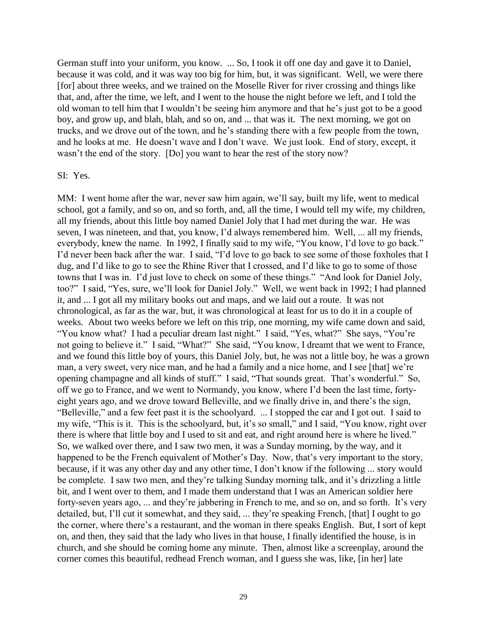German stuff into your uniform, you know. ... So, I took it off one day and gave it to Daniel, because it was cold, and it was way too big for him, but, it was significant. Well, we were there [for] about three weeks, and we trained on the Moselle River for river crossing and things like that, and, after the time, we left, and I went to the house the night before we left, and I told the old woman to tell him that I wouldn't be seeing him anymore and that he's just got to be a good boy, and grow up, and blah, blah, and so on, and ... that was it. The next morning, we got on trucks, and we drove out of the town, and he's standing there with a few people from the town, and he looks at me. He doesn't wave and I don't wave. We just look. End of story, except, it wasn't the end of the story. [Do] you want to hear the rest of the story now?

#### SI: Yes.

MM: I went home after the war, never saw him again, we'll say, built my life, went to medical school, got a family, and so on, and so forth, and, all the time, I would tell my wife, my children, all my friends, about this little boy named Daniel Joly that I had met during the war. He was seven, I was nineteen, and that, you know, I'd always remembered him. Well, ... all my friends, everybody, knew the name. In 1992, I finally said to my wife, "You know, I'd love to go back." I'd never been back after the war. I said, "I'd love to go back to see some of those foxholes that I dug, and I'd like to go to see the Rhine River that I crossed, and I'd like to go to some of those towns that I was in. I'd just love to check on some of these things." "And look for Daniel Joly, too?" I said, "Yes, sure, we'll look for Daniel Joly." Well, we went back in 1992; I had planned it, and ... I got all my military books out and maps, and we laid out a route. It was not chronological, as far as the war, but, it was chronological at least for us to do it in a couple of weeks. About two weeks before we left on this trip, one morning, my wife came down and said, "You know what? I had a peculiar dream last night." I said, "Yes, what?" She says, "You're not going to believe it." I said, "What?" She said, "You know, I dreamt that we went to France, and we found this little boy of yours, this Daniel Joly, but, he was not a little boy, he was a grown man, a very sweet, very nice man, and he had a family and a nice home, and I see [that] we're opening champagne and all kinds of stuff." I said, "That sounds great. That's wonderful." So, off we go to France, and we went to Normandy, you know, where I'd been the last time, fortyeight years ago, and we drove toward Belleville, and we finally drive in, and there's the sign, "Belleville," and a few feet past it is the schoolyard. ... I stopped the car and I got out. I said to my wife, "This is it. This is the schoolyard, but, it's so small," and I said, "You know, right over there is where that little boy and I used to sit and eat, and right around here is where he lived." So, we walked over there, and I saw two men, it was a Sunday morning, by the way, and it happened to be the French equivalent of Mother's Day. Now, that's very important to the story, because, if it was any other day and any other time, I don't know if the following ... story would be complete. I saw two men, and they're talking Sunday morning talk, and it's drizzling a little bit, and I went over to them, and I made them understand that I was an American soldier here forty-seven years ago, ... and they're jabbering in French to me, and so on, and so forth. It's very detailed, but, I'll cut it somewhat, and they said, ... they're speaking French, [that] I ought to go the corner, where there's a restaurant, and the woman in there speaks English. But, I sort of kept on, and then, they said that the lady who lives in that house, I finally identified the house, is in church, and she should be coming home any minute. Then, almost like a screenplay, around the corner comes this beautiful, redhead French woman, and I guess she was, like, [in her] late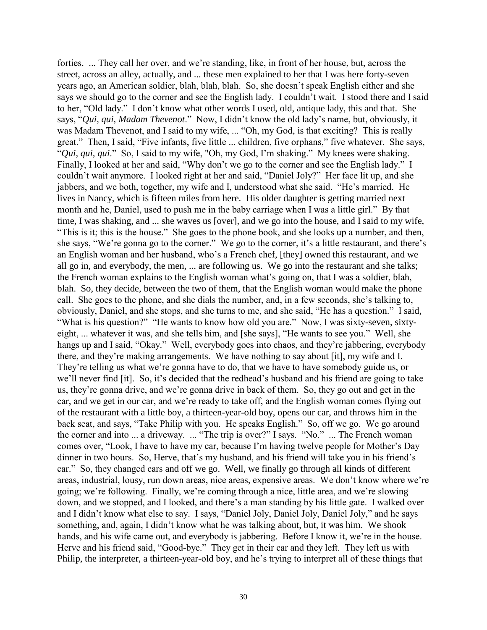forties. ... They call her over, and we're standing, like, in front of her house, but, across the street, across an alley, actually, and ... these men explained to her that I was here forty-seven years ago, an American soldier, blah, blah, blah. So, she doesn't speak English either and she says we should go to the corner and see the English lady. I couldn't wait. I stood there and I said to her, "Old lady." I don't know what other words I used, old, antique lady, this and that. She says, "*Qui, qui, Madam Thevenot*." Now, I didn't know the old lady's name, but, obviously, it was Madam Thevenot, and I said to my wife, ... "Oh, my God, is that exciting? This is really great." Then, I said, "Five infants, five little ... children, five orphans," five whatever. She says, "*Qui, qui, qui*." So, I said to my wife, "Oh, my God, I'm shaking." My knees were shaking. Finally, I looked at her and said, "Why don't we go to the corner and see the English lady." I couldn't wait anymore. I looked right at her and said, "Daniel Joly?" Her face lit up, and she jabbers, and we both, together, my wife and I, understood what she said. "He's married. He lives in Nancy, which is fifteen miles from here. His older daughter is getting married next month and he, Daniel, used to push me in the baby carriage when I was a little girl." By that time, I was shaking, and ... she waves us [over], and we go into the house, and I said to my wife, "This is it; this is the house." She goes to the phone book, and she looks up a number, and then, she says, "We're gonna go to the corner." We go to the corner, it's a little restaurant, and there's an English woman and her husband, who's a French chef, [they] owned this restaurant, and we all go in, and everybody, the men, ... are following us. We go into the restaurant and she talks; the French woman explains to the English woman what's going on, that I was a soldier, blah, blah. So, they decide, between the two of them, that the English woman would make the phone call. She goes to the phone, and she dials the number, and, in a few seconds, she's talking to, obviously, Daniel, and she stops, and she turns to me, and she said, "He has a question." I said, "What is his question?" "He wants to know how old you are." Now, I was sixty-seven, sixtyeight, ... whatever it was, and she tells him, and [she says], "He wants to see you." Well, she hangs up and I said, "Okay." Well, everybody goes into chaos, and they're jabbering, everybody there, and they're making arrangements. We have nothing to say about [it], my wife and I. They're telling us what we're gonna have to do, that we have to have somebody guide us, or we'll never find [it]. So, it's decided that the redhead's husband and his friend are going to take us, they're gonna drive, and we're gonna drive in back of them. So, they go out and get in the car, and we get in our car, and we're ready to take off, and the English woman comes flying out of the restaurant with a little boy, a thirteen-year-old boy, opens our car, and throws him in the back seat, and says, "Take Philip with you. He speaks English." So, off we go. We go around the corner and into ... a driveway. ... "The trip is over?" I says. "No." ... The French woman comes over, "Look, I have to have my car, because I'm having twelve people for Mother's Day dinner in two hours. So, Herve, that's my husband, and his friend will take you in his friend's car." So, they changed cars and off we go. Well, we finally go through all kinds of different areas, industrial, lousy, run down areas, nice areas, expensive areas. We don't know where we're going; we're following. Finally, we're coming through a nice, little area, and we're slowing down, and we stopped, and I looked, and there's a man standing by his little gate. I walked over and I didn't know what else to say. I says, "Daniel Joly, Daniel Joly, Daniel Joly," and he says something, and, again, I didn't know what he was talking about, but, it was him. We shook hands, and his wife came out, and everybody is jabbering. Before I know it, we're in the house. Herve and his friend said, "Good-bye." They get in their car and they left. They left us with Philip, the interpreter, a thirteen-year-old boy, and he's trying to interpret all of these things that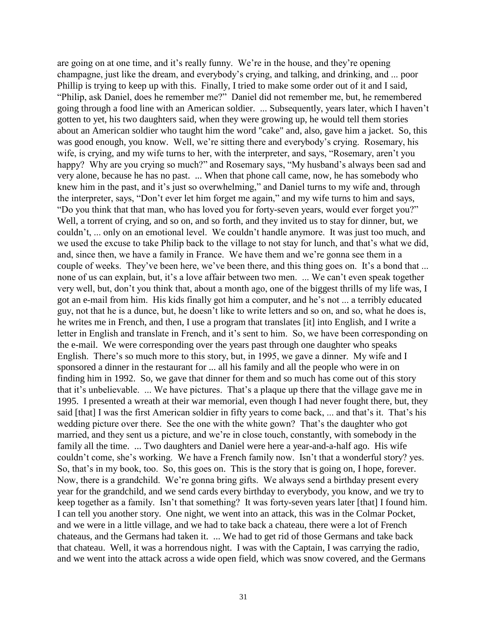are going on at one time, and it's really funny. We're in the house, and they're opening champagne, just like the dream, and everybody's crying, and talking, and drinking, and ... poor Phillip is trying to keep up with this. Finally, I tried to make some order out of it and I said, "Philip, ask Daniel, does he remember me?" Daniel did not remember me, but, he remembered going through a food line with an American soldier. ... Subsequently, years later, which I haven't gotten to yet, his two daughters said, when they were growing up, he would tell them stories about an American soldier who taught him the word "cake" and, also, gave him a jacket. So, this was good enough, you know. Well, we're sitting there and everybody's crying. Rosemary, his wife, is crying, and my wife turns to her, with the interpreter, and says, "Rosemary, aren't you happy? Why are you crying so much?" and Rosemary says, "My husband's always been sad and very alone, because he has no past. ... When that phone call came, now, he has somebody who knew him in the past, and it's just so overwhelming," and Daniel turns to my wife and, through the interpreter, says, "Don't ever let him forget me again," and my wife turns to him and says, "Do you think that that man, who has loved you for forty-seven years, would ever forget you?" Well, a torrent of crying, and so on, and so forth, and they invited us to stay for dinner, but, we couldn't, ... only on an emotional level. We couldn't handle anymore. It was just too much, and we used the excuse to take Philip back to the village to not stay for lunch, and that's what we did, and, since then, we have a family in France. We have them and we're gonna see them in a couple of weeks. They've been here, we've been there, and this thing goes on. It's a bond that ... none of us can explain, but, it's a love affair between two men. ... We can't even speak together very well, but, don't you think that, about a month ago, one of the biggest thrills of my life was, I got an e-mail from him. His kids finally got him a computer, and he's not ... a terribly educated guy, not that he is a dunce, but, he doesn't like to write letters and so on, and so, what he does is, he writes me in French, and then, I use a program that translates [it] into English, and I write a letter in English and translate in French, and it's sent to him. So, we have been corresponding on the e-mail. We were corresponding over the years past through one daughter who speaks English. There's so much more to this story, but, in 1995, we gave a dinner. My wife and I sponsored a dinner in the restaurant for ... all his family and all the people who were in on finding him in 1992. So, we gave that dinner for them and so much has come out of this story that it's unbelievable. ... We have pictures. That's a plaque up there that the village gave me in 1995. I presented a wreath at their war memorial, even though I had never fought there, but, they said [that] I was the first American soldier in fifty years to come back, ... and that's it. That's his wedding picture over there. See the one with the white gown? That's the daughter who got married, and they sent us a picture, and we're in close touch, constantly, with somebody in the family all the time. ... Two daughters and Daniel were here a year-and-a-half ago. His wife couldn't come, she's working. We have a French family now. Isn't that a wonderful story? yes. So, that's in my book, too. So, this goes on. This is the story that is going on, I hope, forever. Now, there is a grandchild. We're gonna bring gifts. We always send a birthday present every year for the grandchild, and we send cards every birthday to everybody, you know, and we try to keep together as a family. Isn't that something? It was forty-seven years later [that] I found him. I can tell you another story. One night, we went into an attack, this was in the Colmar Pocket, and we were in a little village, and we had to take back a chateau, there were a lot of French chateaus, and the Germans had taken it. ... We had to get rid of those Germans and take back that chateau. Well, it was a horrendous night. I was with the Captain, I was carrying the radio, and we went into the attack across a wide open field, which was snow covered, and the Germans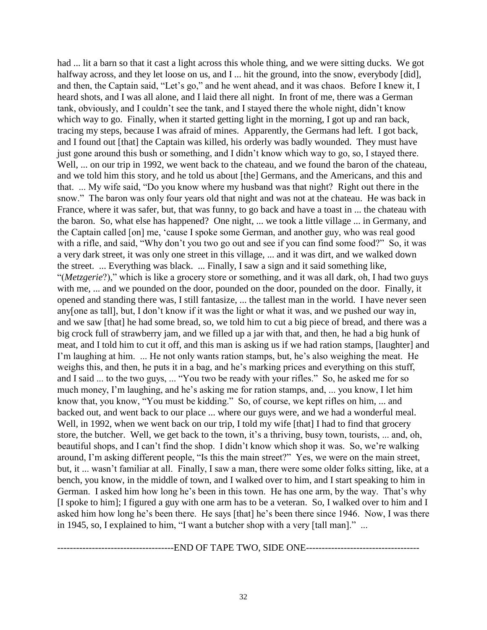had ... lit a barn so that it cast a light across this whole thing, and we were sitting ducks. We got halfway across, and they let loose on us, and I ... hit the ground, into the snow, everybody [did], and then, the Captain said, "Let's go," and he went ahead, and it was chaos. Before I knew it, I heard shots, and I was all alone, and I laid there all night. In front of me, there was a German tank, obviously, and I couldn't see the tank, and I stayed there the whole night, didn't know which way to go. Finally, when it started getting light in the morning, I got up and ran back, tracing my steps, because I was afraid of mines. Apparently, the Germans had left. I got back, and I found out [that] the Captain was killed, his orderly was badly wounded. They must have just gone around this bush or something, and I didn't know which way to go, so, I stayed there. Well, ... on our trip in 1992, we went back to the chateau, and we found the baron of the chateau, and we told him this story, and he told us about [the] Germans, and the Americans, and this and that. ... My wife said, "Do you know where my husband was that night? Right out there in the snow." The baron was only four years old that night and was not at the chateau. He was back in France, where it was safer, but, that was funny, to go back and have a toast in ... the chateau with the baron. So, what else has happened? One night, ... we took a little village ... in Germany, and the Captain called [on] me, 'cause I spoke some German, and another guy, who was real good with a rifle, and said, "Why don't you two go out and see if you can find some food?" So, it was a very dark street, it was only one street in this village, ... and it was dirt, and we walked down the street. ... Everything was black. ... Finally, I saw a sign and it said something like, "(*Metzgerie*?)," which is like a grocery store or something, and it was all dark, oh, I had two guys with me, ... and we pounded on the door, pounded on the door, pounded on the door. Finally, it opened and standing there was, I still fantasize, ... the tallest man in the world. I have never seen any[one as tall], but, I don't know if it was the light or what it was, and we pushed our way in, and we saw [that] he had some bread, so, we told him to cut a big piece of bread, and there was a big crock full of strawberry jam, and we filled up a jar with that, and then, he had a big hunk of meat, and I told him to cut it off, and this man is asking us if we had ration stamps, [laughter] and I'm laughing at him. ... He not only wants ration stamps, but, he's also weighing the meat. He weighs this, and then, he puts it in a bag, and he's marking prices and everything on this stuff, and I said ... to the two guys, ... "You two be ready with your rifles." So, he asked me for so much money, I'm laughing, and he's asking me for ration stamps, and, ... you know, I let him know that, you know, "You must be kidding." So, of course, we kept rifles on him, ... and backed out, and went back to our place ... where our guys were, and we had a wonderful meal. Well, in 1992, when we went back on our trip, I told my wife [that] I had to find that grocery store, the butcher. Well, we get back to the town, it's a thriving, busy town, tourists, ... and, oh, beautiful shops, and I can't find the shop. I didn't know which shop it was. So, we're walking around, I'm asking different people, "Is this the main street?" Yes, we were on the main street, but, it ... wasn't familiar at all. Finally, I saw a man, there were some older folks sitting, like, at a bench, you know, in the middle of town, and I walked over to him, and I start speaking to him in German. I asked him how long he's been in this town. He has one arm, by the way. That's why [I spoke to him]; I figured a guy with one arm has to be a veteran. So, I walked over to him and I asked him how long he's been there. He says [that] he's been there since 1946. Now, I was there in 1945, so, I explained to him, "I want a butcher shop with a very [tall man]." ...

-------------------------------------END OF TAPE TWO, SIDE ONE------------------------------------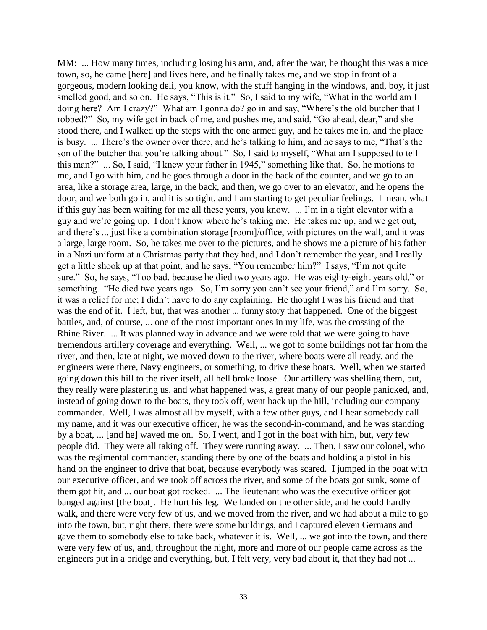MM: ... How many times, including losing his arm, and, after the war, he thought this was a nice town, so, he came [here] and lives here, and he finally takes me, and we stop in front of a gorgeous, modern looking deli, you know, with the stuff hanging in the windows, and, boy, it just smelled good, and so on. He says, "This is it." So, I said to my wife, "What in the world am I doing here? Am I crazy?" What am I gonna do? go in and say, "Where's the old butcher that I robbed?" So, my wife got in back of me, and pushes me, and said, "Go ahead, dear," and she stood there, and I walked up the steps with the one armed guy, and he takes me in, and the place is busy. ... There's the owner over there, and he's talking to him, and he says to me, "That's the son of the butcher that you're talking about." So, I said to myself, "What am I supposed to tell this man?" ... So, I said, "I knew your father in 1945," something like that. So, he motions to me, and I go with him, and he goes through a door in the back of the counter, and we go to an area, like a storage area, large, in the back, and then, we go over to an elevator, and he opens the door, and we both go in, and it is so tight, and I am starting to get peculiar feelings. I mean, what if this guy has been waiting for me all these years, you know. ... I'm in a tight elevator with a guy and we're going up. I don't know where he's taking me. He takes me up, and we get out, and there's ... just like a combination storage [room]/office, with pictures on the wall, and it was a large, large room. So, he takes me over to the pictures, and he shows me a picture of his father in a Nazi uniform at a Christmas party that they had, and I don't remember the year, and I really get a little shook up at that point, and he says, "You remember him?" I says, "I'm not quite sure." So, he says, "Too bad, because he died two years ago. He was eighty-eight years old," or something. "He died two years ago. So, I'm sorry you can't see your friend," and I'm sorry. So, it was a relief for me; I didn't have to do any explaining. He thought I was his friend and that was the end of it. I left, but, that was another ... funny story that happened. One of the biggest battles, and, of course, ... one of the most important ones in my life, was the crossing of the Rhine River. ... It was planned way in advance and we were told that we were going to have tremendous artillery coverage and everything. Well, ... we got to some buildings not far from the river, and then, late at night, we moved down to the river, where boats were all ready, and the engineers were there, Navy engineers, or something, to drive these boats. Well, when we started going down this hill to the river itself, all hell broke loose. Our artillery was shelling them, but, they really were plastering us, and what happened was, a great many of our people panicked, and, instead of going down to the boats, they took off, went back up the hill, including our company commander. Well, I was almost all by myself, with a few other guys, and I hear somebody call my name, and it was our executive officer, he was the second-in-command, and he was standing by a boat, ... [and he] waved me on. So, I went, and I got in the boat with him, but, very few people did. They were all taking off. They were running away. ... Then, I saw our colonel, who was the regimental commander, standing there by one of the boats and holding a pistol in his hand on the engineer to drive that boat, because everybody was scared. I jumped in the boat with our executive officer, and we took off across the river, and some of the boats got sunk, some of them got hit, and ... our boat got rocked. ... The lieutenant who was the executive officer got banged against [the boat]. He hurt his leg. We landed on the other side, and he could hardly walk, and there were very few of us, and we moved from the river, and we had about a mile to go into the town, but, right there, there were some buildings, and I captured eleven Germans and gave them to somebody else to take back, whatever it is. Well, ... we got into the town, and there were very few of us, and, throughout the night, more and more of our people came across as the engineers put in a bridge and everything, but, I felt very, very bad about it, that they had not ...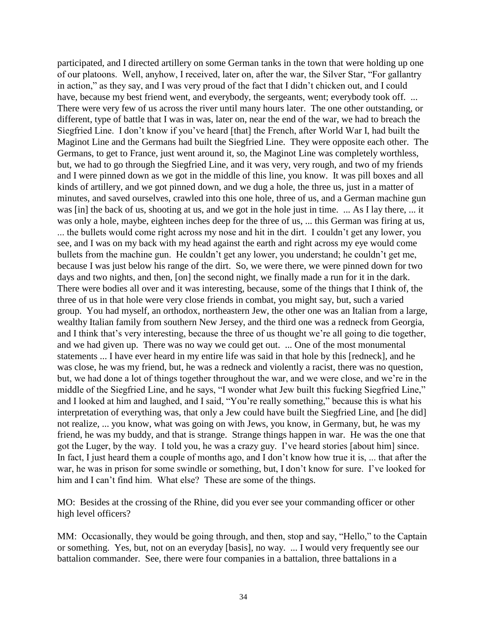participated, and I directed artillery on some German tanks in the town that were holding up one of our platoons. Well, anyhow, I received, later on, after the war, the Silver Star, "For gallantry in action," as they say, and I was very proud of the fact that I didn't chicken out, and I could have, because my best friend went, and everybody, the sergeants, went; everybody took off. ... There were very few of us across the river until many hours later. The one other outstanding, or different, type of battle that I was in was, later on, near the end of the war, we had to breach the Siegfried Line. I don't know if you've heard [that] the French, after World War I, had built the Maginot Line and the Germans had built the Siegfried Line. They were opposite each other. The Germans, to get to France, just went around it, so, the Maginot Line was completely worthless, but, we had to go through the Siegfried Line, and it was very, very rough, and two of my friends and I were pinned down as we got in the middle of this line, you know. It was pill boxes and all kinds of artillery, and we got pinned down, and we dug a hole, the three us, just in a matter of minutes, and saved ourselves, crawled into this one hole, three of us, and a German machine gun was [in] the back of us, shooting at us, and we got in the hole just in time. ... As I lay there, ... it was only a hole, maybe, eighteen inches deep for the three of us, ... this German was firing at us, ... the bullets would come right across my nose and hit in the dirt. I couldn't get any lower, you see, and I was on my back with my head against the earth and right across my eye would come bullets from the machine gun. He couldn't get any lower, you understand; he couldn't get me, because I was just below his range of the dirt. So, we were there, we were pinned down for two days and two nights, and then, [on] the second night, we finally made a run for it in the dark. There were bodies all over and it was interesting, because, some of the things that I think of, the three of us in that hole were very close friends in combat, you might say, but, such a varied group. You had myself, an orthodox, northeastern Jew, the other one was an Italian from a large, wealthy Italian family from southern New Jersey, and the third one was a redneck from Georgia, and I think that's very interesting, because the three of us thought we're all going to die together, and we had given up. There was no way we could get out. ... One of the most monumental statements ... I have ever heard in my entire life was said in that hole by this [redneck], and he was close, he was my friend, but, he was a redneck and violently a racist, there was no question, but, we had done a lot of things together throughout the war, and we were close, and we're in the middle of the Siegfried Line, and he says, "I wonder what Jew built this fucking Siegfried Line," and I looked at him and laughed, and I said, "You're really something," because this is what his interpretation of everything was, that only a Jew could have built the Siegfried Line, and [he did] not realize, ... you know, what was going on with Jews, you know, in Germany, but, he was my friend, he was my buddy, and that is strange. Strange things happen in war. He was the one that got the Luger, by the way. I told you, he was a crazy guy. I've heard stories [about him] since. In fact, I just heard them a couple of months ago, and I don't know how true it is, ... that after the war, he was in prison for some swindle or something, but, I don't know for sure. I've looked for him and I can't find him. What else? These are some of the things.

MO: Besides at the crossing of the Rhine, did you ever see your commanding officer or other high level officers?

MM: Occasionally, they would be going through, and then, stop and say, "Hello," to the Captain or something. Yes, but, not on an everyday [basis], no way. ... I would very frequently see our battalion commander. See, there were four companies in a battalion, three battalions in a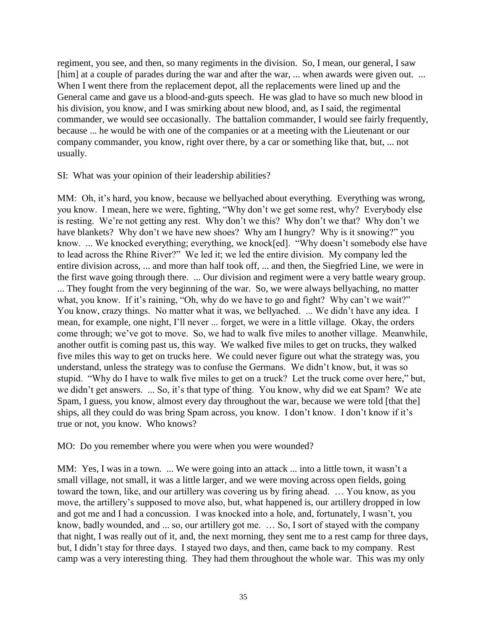regiment, you see, and then, so many regiments in the division. So, I mean, our general, I saw [him] at a couple of parades during the war and after the war, ... when awards were given out. ... When I went there from the replacement depot, all the replacements were lined up and the General came and gave us a blood-and-guts speech. He was glad to have so much new blood in his division, you know, and I was smirking about new blood, and, as I said, the regimental commander, we would see occasionally. The battalion commander, I would see fairly frequently, because ... he would be with one of the companies or at a meeting with the Lieutenant or our company commander, you know, right over there, by a car or something like that, but, ... not usually.

SI: What was your opinion of their leadership abilities?

MM: Oh, it's hard, you know, because we bellyached about everything. Everything was wrong, you know. I mean, here we were, fighting, "Why don't we get some rest, why? Everybody else is resting. We're not getting any rest. Why don't we this? Why don't we that? Why don't we have blankets? Why don't we have new shoes? Why am I hungry? Why is it snowing?" you know. ... We knocked everything; everything, we knock[ed]. "Why doesn't somebody else have to lead across the Rhine River?" We led it; we led the entire division. My company led the entire division across, ... and more than half took off, ... and then, the Siegfried Line, we were in the first wave going through there. ... Our division and regiment were a very battle weary group. ... They fought from the very beginning of the war. So, we were always bellyaching, no matter what, you know. If it's raining, "Oh, why do we have to go and fight? Why can't we wait?" You know, crazy things. No matter what it was, we bellyached. ... We didn't have any idea. I mean, for example, one night, I'll never ... forget, we were in a little village. Okay, the orders come through; we've got to move. So, we had to walk five miles to another village. Meanwhile, another outfit is coming past us, this way. We walked five miles to get on trucks, they walked five miles this way to get on trucks here. We could never figure out what the strategy was, you understand, unless the strategy was to confuse the Germans. We didn't know, but, it was so stupid. "Why do I have to walk five miles to get on a truck? Let the truck come over here," but, we didn't get answers. ... So, it's that type of thing. You know, why did we eat Spam? We ate Spam, I guess, you know, almost every day throughout the war, because we were told [that the] ships, all they could do was bring Spam across, you know. I don't know. I don't know if it's true or not, you know. Who knows?

MO: Do you remember where you were when you were wounded?

MM: Yes, I was in a town. ... We were going into an attack ... into a little town, it wasn't a small village, not small, it was a little larger, and we were moving across open fields, going toward the town, like, and our artillery was covering us by firing ahead. … You know, as you move, the artillery's supposed to move also, but, what happened is, our artillery dropped in low and got me and I had a concussion. I was knocked into a hole, and, fortunately, I wasn't, you know, badly wounded, and ... so, our artillery got me. … So, I sort of stayed with the company that night, I was really out of it, and, the next morning, they sent me to a rest camp for three days, but, I didn't stay for three days. I stayed two days, and then, came back to my company. Rest camp was a very interesting thing. They had them throughout the whole war. This was my only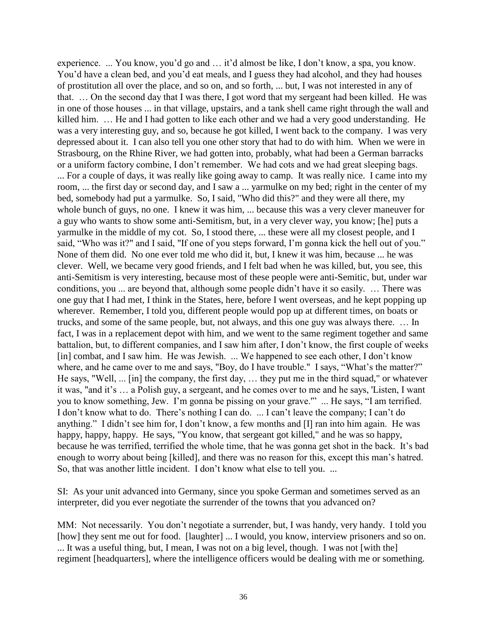experience. ... You know, you'd go and … it'd almost be like, I don't know, a spa, you know. You'd have a clean bed, and you'd eat meals, and I guess they had alcohol, and they had houses of prostitution all over the place, and so on, and so forth, ... but, I was not interested in any of that. … On the second day that I was there, I got word that my sergeant had been killed. He was in one of those houses ... in that village, upstairs, and a tank shell came right through the wall and killed him. … He and I had gotten to like each other and we had a very good understanding. He was a very interesting guy, and so, because he got killed, I went back to the company. I was very depressed about it. I can also tell you one other story that had to do with him. When we were in Strasbourg, on the Rhine River, we had gotten into, probably, what had been a German barracks or a uniform factory combine, I don't remember. We had cots and we had great sleeping bags. ... For a couple of days, it was really like going away to camp. It was really nice. I came into my room, ... the first day or second day, and I saw a ... yarmulke on my bed; right in the center of my bed, somebody had put a yarmulke. So, I said, "Who did this?" and they were all there, my whole bunch of guys, no one. I knew it was him, ... because this was a very clever maneuver for a guy who wants to show some anti-Semitism, but, in a very clever way, you know; [he] puts a yarmulke in the middle of my cot. So, I stood there, ... these were all my closest people, and I said, "Who was it?" and I said, "If one of you steps forward, I'm gonna kick the hell out of you." None of them did. No one ever told me who did it, but, I knew it was him, because ... he was clever. Well, we became very good friends, and I felt bad when he was killed, but, you see, this anti-Semitism is very interesting, because most of these people were anti-Semitic, but, under war conditions, you ... are beyond that, although some people didn't have it so easily. … There was one guy that I had met, I think in the States, here, before I went overseas, and he kept popping up wherever. Remember, I told you, different people would pop up at different times, on boats or trucks, and some of the same people, but, not always, and this one guy was always there. … In fact, I was in a replacement depot with him, and we went to the same regiment together and same battalion, but, to different companies, and I saw him after, I don't know, the first couple of weeks [in] combat, and I saw him. He was Jewish. ... We happened to see each other, I don't know where, and he came over to me and says, "Boy, do I have trouble." I says, "What's the matter?" He says, "Well, ... [in] the company, the first day, … they put me in the third squad," or whatever it was, "and it's … a Polish guy, a sergeant, and he comes over to me and he says, 'Listen, I want you to know something, Jew. I'm gonna be pissing on your grave.'" ... He says, "I am terrified. I don't know what to do. There's nothing I can do. ... I can't leave the company; I can't do anything." I didn't see him for, I don't know, a few months and [I] ran into him again. He was happy, happy, happy. He says, "You know, that sergeant got killed," and he was so happy, because he was terrified, terrified the whole time, that he was gonna get shot in the back. It's bad enough to worry about being [killed], and there was no reason for this, except this man's hatred. So, that was another little incident. I don't know what else to tell you. ...

SI: As your unit advanced into Germany, since you spoke German and sometimes served as an interpreter, did you ever negotiate the surrender of the towns that you advanced on?

MM: Not necessarily. You don't negotiate a surrender, but, I was handy, very handy. I told you [how] they sent me out for food. [laughter] ... I would, you know, interview prisoners and so on. ... It was a useful thing, but, I mean, I was not on a big level, though. I was not [with the] regiment [headquarters], where the intelligence officers would be dealing with me or something.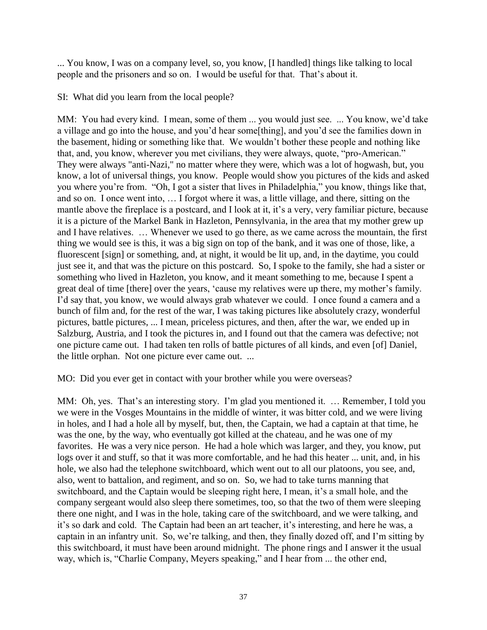... You know, I was on a company level, so, you know, [I handled] things like talking to local people and the prisoners and so on. I would be useful for that. That's about it.

SI: What did you learn from the local people?

MM: You had every kind. I mean, some of them ... you would just see. ... You know, we'd take a village and go into the house, and you'd hear some[thing], and you'd see the families down in the basement, hiding or something like that. We wouldn't bother these people and nothing like that, and, you know, wherever you met civilians, they were always, quote, "pro-American." They were always "anti-Nazi," no matter where they were, which was a lot of hogwash, but, you know, a lot of universal things, you know. People would show you pictures of the kids and asked you where you're from. "Oh, I got a sister that lives in Philadelphia," you know, things like that, and so on. I once went into, … I forgot where it was, a little village, and there, sitting on the mantle above the fireplace is a postcard, and I look at it, it's a very, very familiar picture, because it is a picture of the Markel Bank in Hazleton, Pennsylvania, in the area that my mother grew up and I have relatives. … Whenever we used to go there, as we came across the mountain, the first thing we would see is this, it was a big sign on top of the bank, and it was one of those, like, a fluorescent [sign] or something, and, at night, it would be lit up, and, in the daytime, you could just see it, and that was the picture on this postcard. So, I spoke to the family, she had a sister or something who lived in Hazleton, you know, and it meant something to me, because I spent a great deal of time [there] over the years, 'cause my relatives were up there, my mother's family. I'd say that, you know, we would always grab whatever we could. I once found a camera and a bunch of film and, for the rest of the war, I was taking pictures like absolutely crazy, wonderful pictures, battle pictures, ... I mean, priceless pictures, and then, after the war, we ended up in Salzburg, Austria, and I took the pictures in, and I found out that the camera was defective; not one picture came out. I had taken ten rolls of battle pictures of all kinds, and even [of] Daniel, the little orphan. Not one picture ever came out. ...

MO: Did you ever get in contact with your brother while you were overseas?

MM: Oh, yes. That's an interesting story. I'm glad you mentioned it. … Remember, I told you we were in the Vosges Mountains in the middle of winter, it was bitter cold, and we were living in holes, and I had a hole all by myself, but, then, the Captain, we had a captain at that time, he was the one, by the way, who eventually got killed at the chateau, and he was one of my favorites. He was a very nice person. He had a hole which was larger, and they, you know, put logs over it and stuff, so that it was more comfortable, and he had this heater ... unit, and, in his hole, we also had the telephone switchboard, which went out to all our platoons, you see, and, also, went to battalion, and regiment, and so on. So, we had to take turns manning that switchboard, and the Captain would be sleeping right here, I mean, it's a small hole, and the company sergeant would also sleep there sometimes, too, so that the two of them were sleeping there one night, and I was in the hole, taking care of the switchboard, and we were talking, and it's so dark and cold. The Captain had been an art teacher, it's interesting, and here he was, a captain in an infantry unit. So, we're talking, and then, they finally dozed off, and I'm sitting by this switchboard, it must have been around midnight. The phone rings and I answer it the usual way, which is, "Charlie Company, Meyers speaking," and I hear from ... the other end,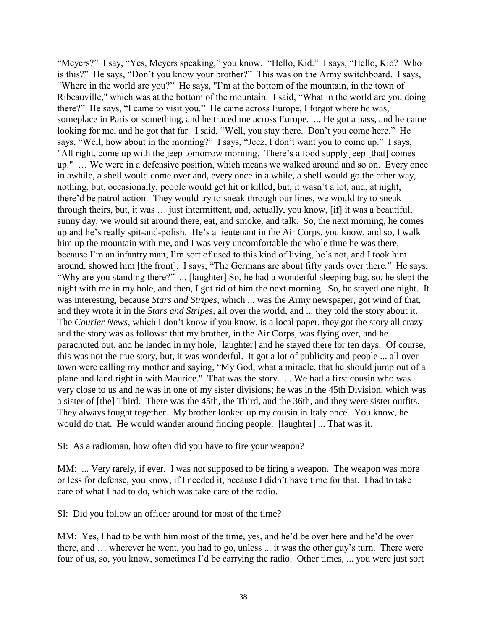"Meyers?" I say, "Yes, Meyers speaking," you know. "Hello, Kid." I says, "Hello, Kid? Who is this?" He says, "Don't you know your brother?" This was on the Army switchboard. I says, "Where in the world are you?" He says, "I'm at the bottom of the mountain, in the town of Ribeauville," which was at the bottom of the mountain. I said, "What in the world are you doing there?" He says, "I came to visit you." He came across Europe, I forgot where he was, someplace in Paris or something, and he traced me across Europe. ... He got a pass, and he came looking for me, and he got that far. I said, "Well, you stay there. Don't you come here." He says, "Well, how about in the morning?" I says, "Jeez, I don't want you to come up." I says, "All right, come up with the jeep tomorrow morning. There's a food supply jeep [that] comes up." … We were in a defensive position, which means we walked around and so on. Every once in awhile, a shell would come over and, every once in a while, a shell would go the other way, nothing, but, occasionally, people would get hit or killed, but, it wasn't a lot, and, at night, there'd be patrol action. They would try to sneak through our lines, we would try to sneak through theirs, but, it was … just intermittent, and, actually, you know, [if] it was a beautiful, sunny day, we would sit around there, eat, and smoke, and talk. So, the next morning, he comes up and he's really spit-and-polish. He's a lieutenant in the Air Corps, you know, and so, I walk him up the mountain with me, and I was very uncomfortable the whole time he was there, because I'm an infantry man, I'm sort of used to this kind of living, he's not, and I took him around, showed him [the front]. I says, "The Germans are about fifty yards over there." He says, "Why are you standing there?" ... [laughter] So, he had a wonderful sleeping bag, so, he slept the night with me in my hole, and then, I got rid of him the next morning. So, he stayed one night. It was interesting, because *Stars and Stripes,* which ... was the Army newspaper, got wind of that, and they wrote it in the *Stars and Stripes,* all over the world, and ... they told the story about it. The *Courier News*, which I don't know if you know, is a local paper, they got the story all crazy and the story was as follows: that my brother, in the Air Corps, was flying over, and he parachuted out, and he landed in my hole, [laughter] and he stayed there for ten days. Of course, this was not the true story, but, it was wonderful. It got a lot of publicity and people ... all over town were calling my mother and saying, "My God, what a miracle, that he should jump out of a plane and land right in with Maurice." That was the story. ... We had a first cousin who was very close to us and he was in one of my sister divisions; he was in the 45th Division, which was a sister of [the] Third. There was the 45th, the Third, and the 36th, and they were sister outfits. They always fought together. My brother looked up my cousin in Italy once. You know, he would do that. He would wander around finding people. [laughter] ... That was it.

SI: As a radioman, how often did you have to fire your weapon?

MM: ... Very rarely, if ever. I was not supposed to be firing a weapon. The weapon was more or less for defense, you know, if I needed it, because I didn't have time for that. I had to take care of what I had to do, which was take care of the radio.

SI: Did you follow an officer around for most of the time?

MM: Yes, I had to be with him most of the time, yes, and he'd be over here and he'd be over there, and … wherever he went, you had to go, unless ... it was the other guy's turn. There were four of us, so, you know, sometimes I'd be carrying the radio. Other times, ... you were just sort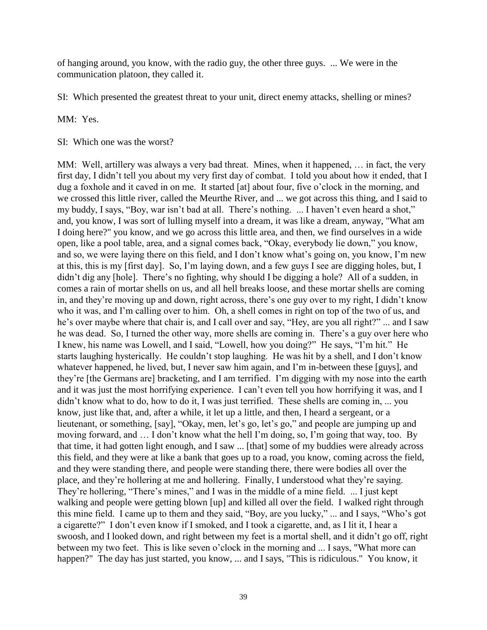of hanging around, you know, with the radio guy, the other three guys. ... We were in the communication platoon, they called it.

SI: Which presented the greatest threat to your unit, direct enemy attacks, shelling or mines?

MM: Yes.

SI: Which one was the worst?

MM: Well, artillery was always a very bad threat. Mines, when it happened, … in fact, the very first day, I didn't tell you about my very first day of combat. I told you about how it ended, that I dug a foxhole and it caved in on me. It started [at] about four, five o'clock in the morning, and we crossed this little river, called the Meurthe River, and ... we got across this thing, and I said to my buddy, I says, "Boy, war isn't bad at all. There's nothing. ... I haven't even heard a shot," and, you know, I was sort of lulling myself into a dream, it was like a dream, anyway, "What am I doing here?" you know, and we go across this little area, and then, we find ourselves in a wide open, like a pool table, area, and a signal comes back, "Okay, everybody lie down," you know, and so, we were laying there on this field, and I don't know what's going on, you know, I'm new at this, this is my [first day]. So, I'm laying down, and a few guys I see are digging holes, but, I didn't dig any [hole]. There's no fighting, why should I be digging a hole? All of a sudden, in comes a rain of mortar shells on us, and all hell breaks loose, and these mortar shells are coming in, and they're moving up and down, right across, there's one guy over to my right, I didn't know who it was, and I'm calling over to him. Oh, a shell comes in right on top of the two of us, and he's over maybe where that chair is, and I call over and say, "Hey, are you all right?" ... and I saw he was dead. So, I turned the other way, more shells are coming in. There's a guy over here who I knew, his name was Lowell, and I said, "Lowell, how you doing?" He says, "I'm hit." He starts laughing hysterically. He couldn't stop laughing. He was hit by a shell, and I don't know whatever happened, he lived, but, I never saw him again, and I'm in-between these [guys], and they're [the Germans are] bracketing, and I am terrified. I'm digging with my nose into the earth and it was just the most horrifying experience. I can't even tell you how horrifying it was, and I didn't know what to do, how to do it, I was just terrified. These shells are coming in, ... you know, just like that, and, after a while, it let up a little, and then, I heard a sergeant, or a lieutenant, or something, [say], "Okay, men, let's go, let's go," and people are jumping up and moving forward, and … I don't know what the hell I'm doing, so, I'm going that way, too. By that time, it had gotten light enough, and I saw ... [that] some of my buddies were already across this field, and they were at like a bank that goes up to a road, you know, coming across the field, and they were standing there, and people were standing there, there were bodies all over the place, and they're hollering at me and hollering. Finally, I understood what they're saying. They're hollering, "There's mines," and I was in the middle of a mine field. ... I just kept walking and people were getting blown [up] and killed all over the field. I walked right through this mine field. I came up to them and they said, "Boy, are you lucky," ... and I says, "Who's got a cigarette?" I don't even know if I smoked, and I took a cigarette, and, as I lit it, I hear a swoosh, and I looked down, and right between my feet is a mortal shell, and it didn't go off, right between my two feet. This is like seven o'clock in the morning and ... I says, "What more can happen?" The day has just started, you know, ... and I says, "This is ridiculous." You know, it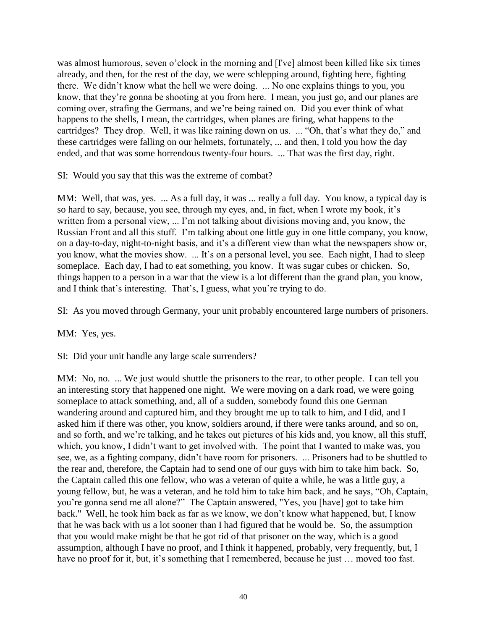was almost humorous, seven o'clock in the morning and [I've] almost been killed like six times already, and then, for the rest of the day, we were schlepping around, fighting here, fighting there. We didn't know what the hell we were doing. ... No one explains things to you, you know, that they're gonna be shooting at you from here. I mean, you just go, and our planes are coming over, strafing the Germans, and we're being rained on. Did you ever think of what happens to the shells, I mean, the cartridges, when planes are firing, what happens to the cartridges? They drop. Well, it was like raining down on us. ... "Oh, that's what they do," and these cartridges were falling on our helmets, fortunately, ... and then, I told you how the day ended, and that was some horrendous twenty-four hours. ... That was the first day, right.

SI: Would you say that this was the extreme of combat?

MM: Well, that was, yes. ... As a full day, it was ... really a full day. You know, a typical day is so hard to say, because, you see, through my eyes, and, in fact, when I wrote my book, it's written from a personal view, ... I'm not talking about divisions moving and, you know, the Russian Front and all this stuff. I'm talking about one little guy in one little company, you know, on a day-to-day, night-to-night basis, and it's a different view than what the newspapers show or, you know, what the movies show. ... It's on a personal level, you see. Each night, I had to sleep someplace. Each day, I had to eat something, you know. It was sugar cubes or chicken. So, things happen to a person in a war that the view is a lot different than the grand plan, you know, and I think that's interesting. That's, I guess, what you're trying to do.

SI: As you moved through Germany, your unit probably encountered large numbers of prisoners.

MM: Yes, yes.

SI: Did your unit handle any large scale surrenders?

MM: No, no. ... We just would shuttle the prisoners to the rear, to other people. I can tell you an interesting story that happened one night. We were moving on a dark road, we were going someplace to attack something, and, all of a sudden, somebody found this one German wandering around and captured him, and they brought me up to talk to him, and I did, and I asked him if there was other, you know, soldiers around, if there were tanks around, and so on, and so forth, and we're talking, and he takes out pictures of his kids and, you know, all this stuff, which, you know, I didn't want to get involved with. The point that I wanted to make was, you see, we, as a fighting company, didn't have room for prisoners. ... Prisoners had to be shuttled to the rear and, therefore, the Captain had to send one of our guys with him to take him back. So, the Captain called this one fellow, who was a veteran of quite a while, he was a little guy, a young fellow, but, he was a veteran, and he told him to take him back, and he says, "Oh, Captain, you're gonna send me all alone?" The Captain answered, "Yes, you [have] got to take him back." Well, he took him back as far as we know, we don't know what happened, but, I know that he was back with us a lot sooner than I had figured that he would be. So, the assumption that you would make might be that he got rid of that prisoner on the way, which is a good assumption, although I have no proof, and I think it happened, probably, very frequently, but, I have no proof for it, but, it's something that I remembered, because he just ... moved too fast.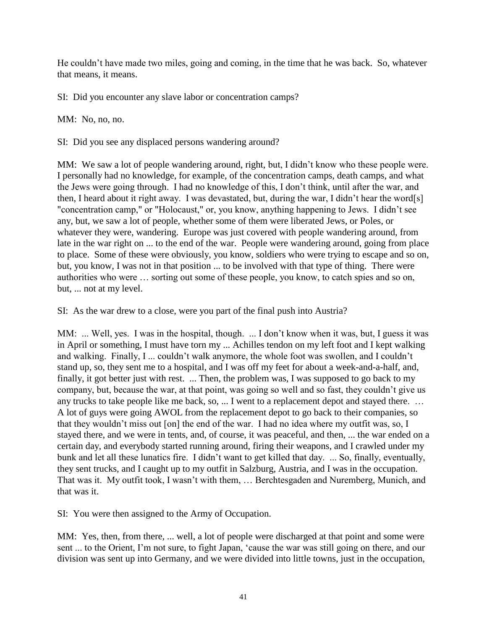He couldn't have made two miles, going and coming, in the time that he was back. So, whatever that means, it means.

SI: Did you encounter any slave labor or concentration camps?

MM: No, no, no.

SI: Did you see any displaced persons wandering around?

MM: We saw a lot of people wandering around, right, but, I didn't know who these people were. I personally had no knowledge, for example, of the concentration camps, death camps, and what the Jews were going through. I had no knowledge of this, I don't think, until after the war, and then, I heard about it right away. I was devastated, but, during the war, I didn't hear the word[s] "concentration camp," or "Holocaust," or, you know, anything happening to Jews. I didn't see any, but, we saw a lot of people, whether some of them were liberated Jews, or Poles, or whatever they were, wandering. Europe was just covered with people wandering around, from late in the war right on ... to the end of the war. People were wandering around, going from place to place. Some of these were obviously, you know, soldiers who were trying to escape and so on, but, you know, I was not in that position ... to be involved with that type of thing. There were authorities who were … sorting out some of these people, you know, to catch spies and so on, but, ... not at my level.

SI: As the war drew to a close, were you part of the final push into Austria?

MM: ... Well, yes. I was in the hospital, though. ... I don't know when it was, but, I guess it was in April or something, I must have torn my ... Achilles tendon on my left foot and I kept walking and walking. Finally, I ... couldn't walk anymore, the whole foot was swollen, and I couldn't stand up, so, they sent me to a hospital, and I was off my feet for about a week-and-a-half, and, finally, it got better just with rest. ... Then, the problem was, I was supposed to go back to my company, but, because the war, at that point, was going so well and so fast, they couldn't give us any trucks to take people like me back, so, ... I went to a replacement depot and stayed there. … A lot of guys were going AWOL from the replacement depot to go back to their companies, so that they wouldn't miss out [on] the end of the war. I had no idea where my outfit was, so, I stayed there, and we were in tents, and, of course, it was peaceful, and then, ... the war ended on a certain day, and everybody started running around, firing their weapons, and I crawled under my bunk and let all these lunatics fire. I didn't want to get killed that day. ... So, finally, eventually, they sent trucks, and I caught up to my outfit in Salzburg, Austria, and I was in the occupation. That was it. My outfit took, I wasn't with them, … Berchtesgaden and Nuremberg, Munich, and that was it.

SI: You were then assigned to the Army of Occupation.

MM: Yes, then, from there, ... well, a lot of people were discharged at that point and some were sent ... to the Orient, I'm not sure, to fight Japan, 'cause the war was still going on there, and our division was sent up into Germany, and we were divided into little towns, just in the occupation,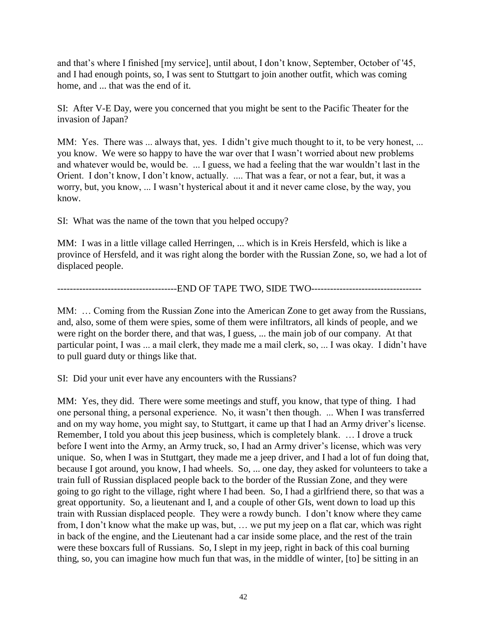and that's where I finished [my service], until about, I don't know, September, October of '45, and I had enough points, so, I was sent to Stuttgart to join another outfit, which was coming home, and ... that was the end of it.

SI: After V-E Day, were you concerned that you might be sent to the Pacific Theater for the invasion of Japan?

MM: Yes. There was ... always that, yes. I didn't give much thought to it, to be very honest, ... you know. We were so happy to have the war over that I wasn't worried about new problems and whatever would be, would be. ... I guess, we had a feeling that the war wouldn't last in the Orient. I don't know, I don't know, actually. .... That was a fear, or not a fear, but, it was a worry, but, you know, ... I wasn't hysterical about it and it never came close, by the way, you know.

SI: What was the name of the town that you helped occupy?

MM: I was in a little village called Herringen, ... which is in Kreis Hersfeld, which is like a province of Hersfeld, and it was right along the border with the Russian Zone, so, we had a lot of displaced people.

------------------------END OF TAPE TWO, SIDE TWO--------------------------------

MM: … Coming from the Russian Zone into the American Zone to get away from the Russians, and, also, some of them were spies, some of them were infiltrators, all kinds of people, and we were right on the border there, and that was, I guess, ... the main job of our company. At that particular point, I was ... a mail clerk, they made me a mail clerk, so, ... I was okay. I didn't have to pull guard duty or things like that.

SI: Did your unit ever have any encounters with the Russians?

MM: Yes, they did. There were some meetings and stuff, you know, that type of thing. I had one personal thing, a personal experience. No, it wasn't then though. ... When I was transferred and on my way home, you might say, to Stuttgart, it came up that I had an Army driver's license. Remember, I told you about this jeep business, which is completely blank. … I drove a truck before I went into the Army, an Army truck, so, I had an Army driver's license, which was very unique. So, when I was in Stuttgart, they made me a jeep driver, and I had a lot of fun doing that, because I got around, you know, I had wheels. So, ... one day, they asked for volunteers to take a train full of Russian displaced people back to the border of the Russian Zone, and they were going to go right to the village, right where I had been. So, I had a girlfriend there, so that was a great opportunity. So, a lieutenant and I, and a couple of other GIs, went down to load up this train with Russian displaced people. They were a rowdy bunch. I don't know where they came from, I don't know what the make up was, but, … we put my jeep on a flat car, which was right in back of the engine, and the Lieutenant had a car inside some place, and the rest of the train were these boxcars full of Russians. So, I slept in my jeep, right in back of this coal burning thing, so, you can imagine how much fun that was, in the middle of winter, [to] be sitting in an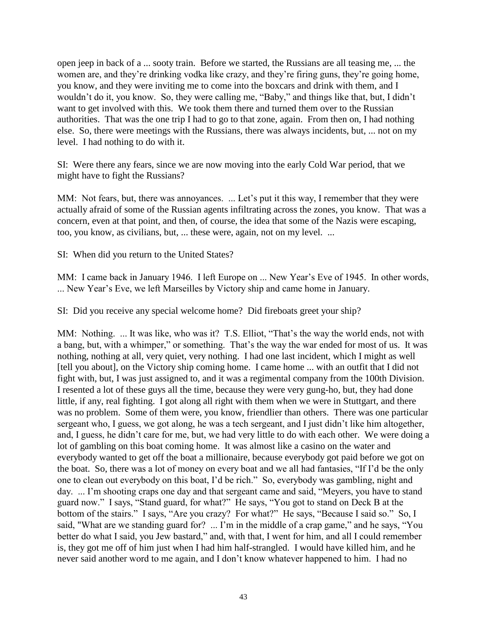open jeep in back of a ... sooty train. Before we started, the Russians are all teasing me, ... the women are, and they're drinking vodka like crazy, and they're firing guns, they're going home, you know, and they were inviting me to come into the boxcars and drink with them, and I wouldn't do it, you know. So, they were calling me, "Baby," and things like that, but, I didn't want to get involved with this. We took them there and turned them over to the Russian authorities. That was the one trip I had to go to that zone, again. From then on, I had nothing else. So, there were meetings with the Russians, there was always incidents, but, ... not on my level. I had nothing to do with it.

SI: Were there any fears, since we are now moving into the early Cold War period, that we might have to fight the Russians?

MM: Not fears, but, there was annoyances. ... Let's put it this way, I remember that they were actually afraid of some of the Russian agents infiltrating across the zones, you know. That was a concern, even at that point, and then, of course, the idea that some of the Nazis were escaping, too, you know, as civilians, but, ... these were, again, not on my level. ...

SI: When did you return to the United States?

MM: I came back in January 1946. I left Europe on ... New Year's Eve of 1945. In other words, ... New Year's Eve, we left Marseilles by Victory ship and came home in January.

SI: Did you receive any special welcome home? Did fireboats greet your ship?

MM: Nothing. ... It was like, who was it? T.S. Elliot, "That's the way the world ends, not with a bang, but, with a whimper," or something. That's the way the war ended for most of us. It was nothing, nothing at all, very quiet, very nothing. I had one last incident, which I might as well [tell you about], on the Victory ship coming home. I came home ... with an outfit that I did not fight with, but, I was just assigned to, and it was a regimental company from the 100th Division. I resented a lot of these guys all the time, because they were very gung-ho, but, they had done little, if any, real fighting. I got along all right with them when we were in Stuttgart, and there was no problem. Some of them were, you know, friendlier than others. There was one particular sergeant who, I guess, we got along, he was a tech sergeant, and I just didn't like him altogether, and, I guess, he didn't care for me, but, we had very little to do with each other. We were doing a lot of gambling on this boat coming home. It was almost like a casino on the water and everybody wanted to get off the boat a millionaire, because everybody got paid before we got on the boat. So, there was a lot of money on every boat and we all had fantasies, "If I'd be the only one to clean out everybody on this boat, I'd be rich." So, everybody was gambling, night and day. ... I'm shooting craps one day and that sergeant came and said, "Meyers, you have to stand guard now." I says, "Stand guard, for what?" He says, "You got to stand on Deck B at the bottom of the stairs." I says, "Are you crazy? For what?" He says, "Because I said so." So, I said, "What are we standing guard for? ... I'm in the middle of a crap game," and he says, "You better do what I said, you Jew bastard," and, with that, I went for him, and all I could remember is, they got me off of him just when I had him half-strangled. I would have killed him, and he never said another word to me again, and I don't know whatever happened to him. I had no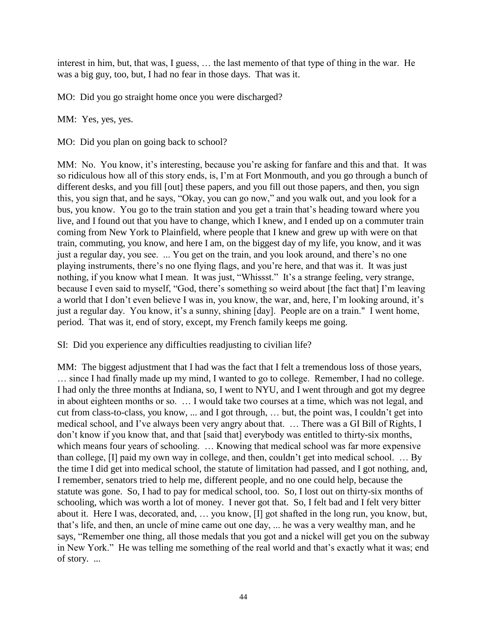interest in him, but, that was, I guess, … the last memento of that type of thing in the war. He was a big guy, too, but, I had no fear in those days. That was it.

MO: Did you go straight home once you were discharged?

MM: Yes, yes, yes.

MO: Did you plan on going back to school?

MM: No. You know, it's interesting, because you're asking for fanfare and this and that. It was so ridiculous how all of this story ends, is, I'm at Fort Monmouth, and you go through a bunch of different desks, and you fill [out] these papers, and you fill out those papers, and then, you sign this, you sign that, and he says, "Okay, you can go now," and you walk out, and you look for a bus, you know. You go to the train station and you get a train that's heading toward where you live, and I found out that you have to change, which I knew, and I ended up on a commuter train coming from New York to Plainfield, where people that I knew and grew up with were on that train, commuting, you know, and here I am, on the biggest day of my life, you know, and it was just a regular day, you see. ... You get on the train, and you look around, and there's no one playing instruments, there's no one flying flags, and you're here, and that was it. It was just nothing, if you know what I mean. It was just, "Whissst." It's a strange feeling, very strange, because I even said to myself, "God, there's something so weird about [the fact that] I'm leaving a world that I don't even believe I was in, you know, the war, and, here, I'm looking around, it's just a regular day. You know, it's a sunny, shining [day]. People are on a train." I went home, period. That was it, end of story, except, my French family keeps me going.

SI: Did you experience any difficulties readjusting to civilian life?

MM: The biggest adjustment that I had was the fact that I felt a tremendous loss of those years, … since I had finally made up my mind, I wanted to go to college. Remember, I had no college. I had only the three months at Indiana, so, I went to NYU, and I went through and got my degree in about eighteen months or so. … I would take two courses at a time, which was not legal, and cut from class-to-class, you know, ... and I got through, … but, the point was, I couldn't get into medical school, and I've always been very angry about that. … There was a GI Bill of Rights, I don't know if you know that, and that [said that] everybody was entitled to thirty-six months, which means four years of schooling. ... Knowing that medical school was far more expensive than college, [I] paid my own way in college, and then, couldn't get into medical school. … By the time I did get into medical school, the statute of limitation had passed, and I got nothing, and, I remember, senators tried to help me, different people, and no one could help, because the statute was gone. So, I had to pay for medical school, too. So, I lost out on thirty-six months of schooling, which was worth a lot of money. I never got that. So, I felt bad and I felt very bitter about it. Here I was, decorated, and, … you know, [I] got shafted in the long run, you know, but, that's life, and then, an uncle of mine came out one day, ... he was a very wealthy man, and he says, "Remember one thing, all those medals that you got and a nickel will get you on the subway in New York." He was telling me something of the real world and that's exactly what it was; end of story. ...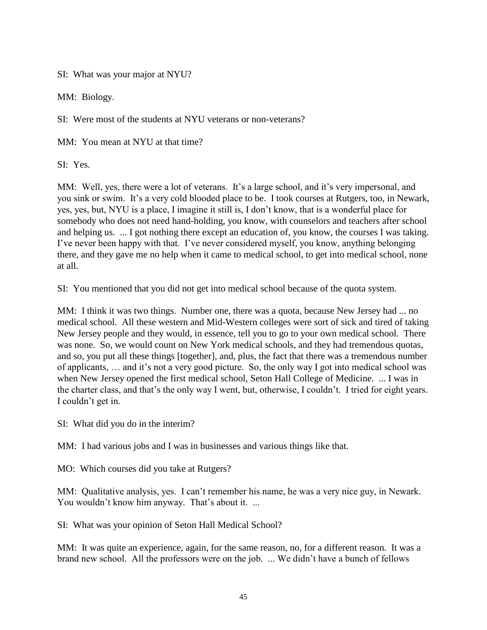SI: What was your major at NYU?

MM: Biology.

SI: Were most of the students at NYU veterans or non-veterans?

MM: You mean at NYU at that time?

SI: Yes.

MM: Well, yes, there were a lot of veterans. It's a large school, and it's very impersonal, and you sink or swim. It's a very cold blooded place to be. I took courses at Rutgers, too, in Newark, yes, yes, but, NYU is a place, I imagine it still is, I don't know, that is a wonderful place for somebody who does not need hand-holding, you know, with counselors and teachers after school and helping us. ... I got nothing there except an education of, you know, the courses I was taking. I've never been happy with that. I've never considered myself, you know, anything belonging there, and they gave me no help when it came to medical school, to get into medical school, none at all.

SI: You mentioned that you did not get into medical school because of the quota system.

MM: I think it was two things. Number one, there was a quota, because New Jersey had ... no medical school. All these western and Mid-Western colleges were sort of sick and tired of taking New Jersey people and they would, in essence, tell you to go to your own medical school. There was none. So, we would count on New York medical schools, and they had tremendous quotas, and so, you put all these things [together], and, plus, the fact that there was a tremendous number of applicants, … and it's not a very good picture. So, the only way I got into medical school was when New Jersey opened the first medical school, Seton Hall College of Medicine. ... I was in the charter class, and that's the only way I went, but, otherwise, I couldn't. I tried for eight years. I couldn't get in.

SI: What did you do in the interim?

MM: I had various jobs and I was in businesses and various things like that.

MO: Which courses did you take at Rutgers?

MM: Qualitative analysis, yes. I can't remember his name, he was a very nice guy, in Newark. You wouldn't know him anyway. That's about it. ...

SI: What was your opinion of Seton Hall Medical School?

MM: It was quite an experience, again, for the same reason, no, for a different reason. It was a brand new school. All the professors were on the job. ... We didn't have a bunch of fellows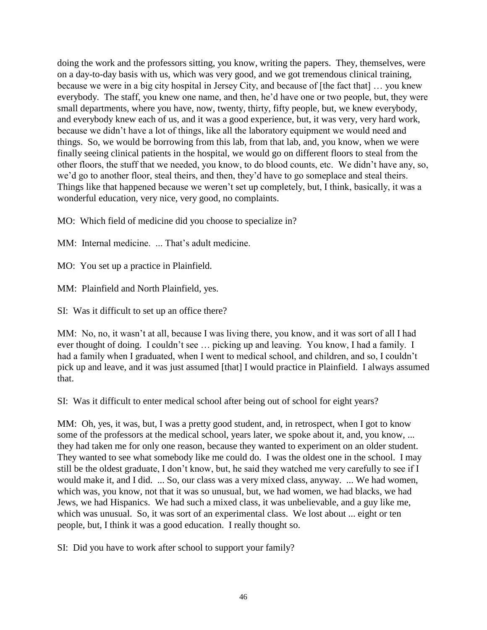doing the work and the professors sitting, you know, writing the papers. They, themselves, were on a day-to-day basis with us, which was very good, and we got tremendous clinical training, because we were in a big city hospital in Jersey City, and because of [the fact that] … you knew everybody. The staff, you knew one name, and then, he'd have one or two people, but, they were small departments, where you have, now, twenty, thirty, fifty people, but, we knew everybody, and everybody knew each of us, and it was a good experience, but, it was very, very hard work, because we didn't have a lot of things, like all the laboratory equipment we would need and things. So, we would be borrowing from this lab, from that lab, and, you know, when we were finally seeing clinical patients in the hospital, we would go on different floors to steal from the other floors, the stuff that we needed, you know, to do blood counts, etc. We didn't have any, so, we'd go to another floor, steal theirs, and then, they'd have to go someplace and steal theirs. Things like that happened because we weren't set up completely, but, I think, basically, it was a wonderful education, very nice, very good, no complaints.

MO: Which field of medicine did you choose to specialize in?

MM: Internal medicine. ... That's adult medicine.

MO: You set up a practice in Plainfield.

MM: Plainfield and North Plainfield, yes.

SI: Was it difficult to set up an office there?

MM: No, no, it wasn't at all, because I was living there, you know, and it was sort of all I had ever thought of doing. I couldn't see … picking up and leaving. You know, I had a family. I had a family when I graduated, when I went to medical school, and children, and so, I couldn't pick up and leave, and it was just assumed [that] I would practice in Plainfield. I always assumed that.

SI: Was it difficult to enter medical school after being out of school for eight years?

MM: Oh, yes, it was, but, I was a pretty good student, and, in retrospect, when I got to know some of the professors at the medical school, years later, we spoke about it, and, you know, ... they had taken me for only one reason, because they wanted to experiment on an older student. They wanted to see what somebody like me could do. I was the oldest one in the school. I may still be the oldest graduate, I don't know, but, he said they watched me very carefully to see if I would make it, and I did. ... So, our class was a very mixed class, anyway. ... We had women, which was, you know, not that it was so unusual, but, we had women, we had blacks, we had Jews, we had Hispanics. We had such a mixed class, it was unbelievable, and a guy like me, which was unusual. So, it was sort of an experimental class. We lost about ... eight or ten people, but, I think it was a good education. I really thought so.

SI: Did you have to work after school to support your family?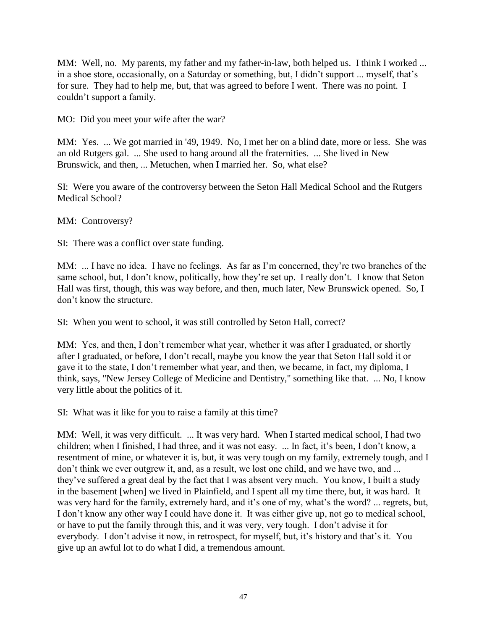MM: Well, no. My parents, my father and my father-in-law, both helped us. I think I worked ... in a shoe store, occasionally, on a Saturday or something, but, I didn't support ... myself, that's for sure. They had to help me, but, that was agreed to before I went. There was no point. I couldn't support a family.

MO: Did you meet your wife after the war?

MM: Yes. ... We got married in '49, 1949. No, I met her on a blind date, more or less. She was an old Rutgers gal. ... She used to hang around all the fraternities. ... She lived in New Brunswick, and then, ... Metuchen, when I married her. So, what else?

SI: Were you aware of the controversy between the Seton Hall Medical School and the Rutgers Medical School?

MM: Controversy?

SI: There was a conflict over state funding.

MM: ... I have no idea. I have no feelings. As far as I'm concerned, they're two branches of the same school, but, I don't know, politically, how they're set up. I really don't. I know that Seton Hall was first, though, this was way before, and then, much later, New Brunswick opened. So, I don't know the structure.

SI: When you went to school, it was still controlled by Seton Hall, correct?

MM: Yes, and then, I don't remember what year, whether it was after I graduated, or shortly after I graduated, or before, I don't recall, maybe you know the year that Seton Hall sold it or gave it to the state, I don't remember what year, and then, we became, in fact, my diploma, I think, says, "New Jersey College of Medicine and Dentistry," something like that. ... No, I know very little about the politics of it.

SI: What was it like for you to raise a family at this time?

MM: Well, it was very difficult. ... It was very hard. When I started medical school, I had two children; when I finished, I had three, and it was not easy. ... In fact, it's been, I don't know, a resentment of mine, or whatever it is, but, it was very tough on my family, extremely tough, and I don't think we ever outgrew it, and, as a result, we lost one child, and we have two, and ... they've suffered a great deal by the fact that I was absent very much. You know, I built a study in the basement [when] we lived in Plainfield, and I spent all my time there, but, it was hard. It was very hard for the family, extremely hard, and it's one of my, what's the word? ... regrets, but, I don't know any other way I could have done it. It was either give up, not go to medical school, or have to put the family through this, and it was very, very tough. I don't advise it for everybody. I don't advise it now, in retrospect, for myself, but, it's history and that's it. You give up an awful lot to do what I did, a tremendous amount.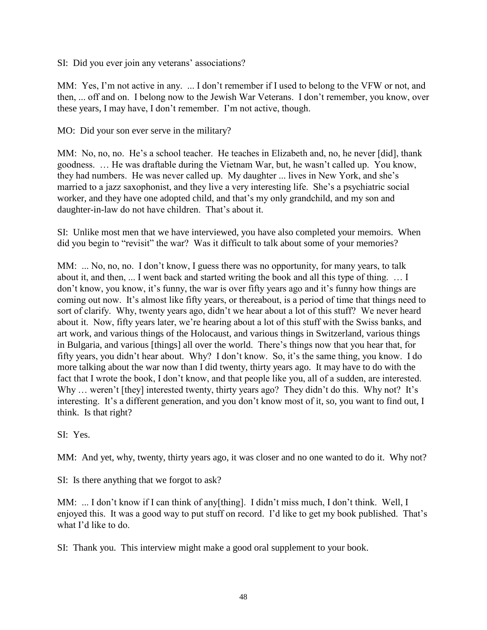SI: Did you ever join any veterans' associations?

MM: Yes, I'm not active in any. ... I don't remember if I used to belong to the VFW or not, and then, ... off and on. I belong now to the Jewish War Veterans. I don't remember, you know, over these years, I may have, I don't remember. I'm not active, though.

MO: Did your son ever serve in the military?

MM: No, no, no. He's a school teacher. He teaches in Elizabeth and, no, he never [did], thank goodness. … He was draftable during the Vietnam War, but, he wasn't called up. You know, they had numbers. He was never called up. My daughter ... lives in New York, and she's married to a jazz saxophonist, and they live a very interesting life. She's a psychiatric social worker, and they have one adopted child, and that's my only grandchild, and my son and daughter-in-law do not have children. That's about it.

SI: Unlike most men that we have interviewed, you have also completed your memoirs. When did you begin to "revisit" the war? Was it difficult to talk about some of your memories?

MM: ... No, no, no. I don't know, I guess there was no opportunity, for many years, to talk about it, and then, ... I went back and started writing the book and all this type of thing. … I don't know, you know, it's funny, the war is over fifty years ago and it's funny how things are coming out now. It's almost like fifty years, or thereabout, is a period of time that things need to sort of clarify. Why, twenty years ago, didn't we hear about a lot of this stuff? We never heard about it. Now, fifty years later, we're hearing about a lot of this stuff with the Swiss banks, and art work, and various things of the Holocaust, and various things in Switzerland, various things in Bulgaria, and various [things] all over the world. There's things now that you hear that, for fifty years, you didn't hear about. Why? I don't know. So, it's the same thing, you know. I do more talking about the war now than I did twenty, thirty years ago. It may have to do with the fact that I wrote the book, I don't know, and that people like you, all of a sudden, are interested. Why ... weren't [they] interested twenty, thirty years ago? They didn't do this. Why not? It's interesting. It's a different generation, and you don't know most of it, so, you want to find out, I think. Is that right?

SI: Yes.

MM: And yet, why, twenty, thirty years ago, it was closer and no one wanted to do it. Why not?

SI: Is there anything that we forgot to ask?

MM: ... I don't know if I can think of any[thing]. I didn't miss much, I don't think. Well, I enjoyed this. It was a good way to put stuff on record. I'd like to get my book published. That's what I'd like to do.

SI: Thank you. This interview might make a good oral supplement to your book.